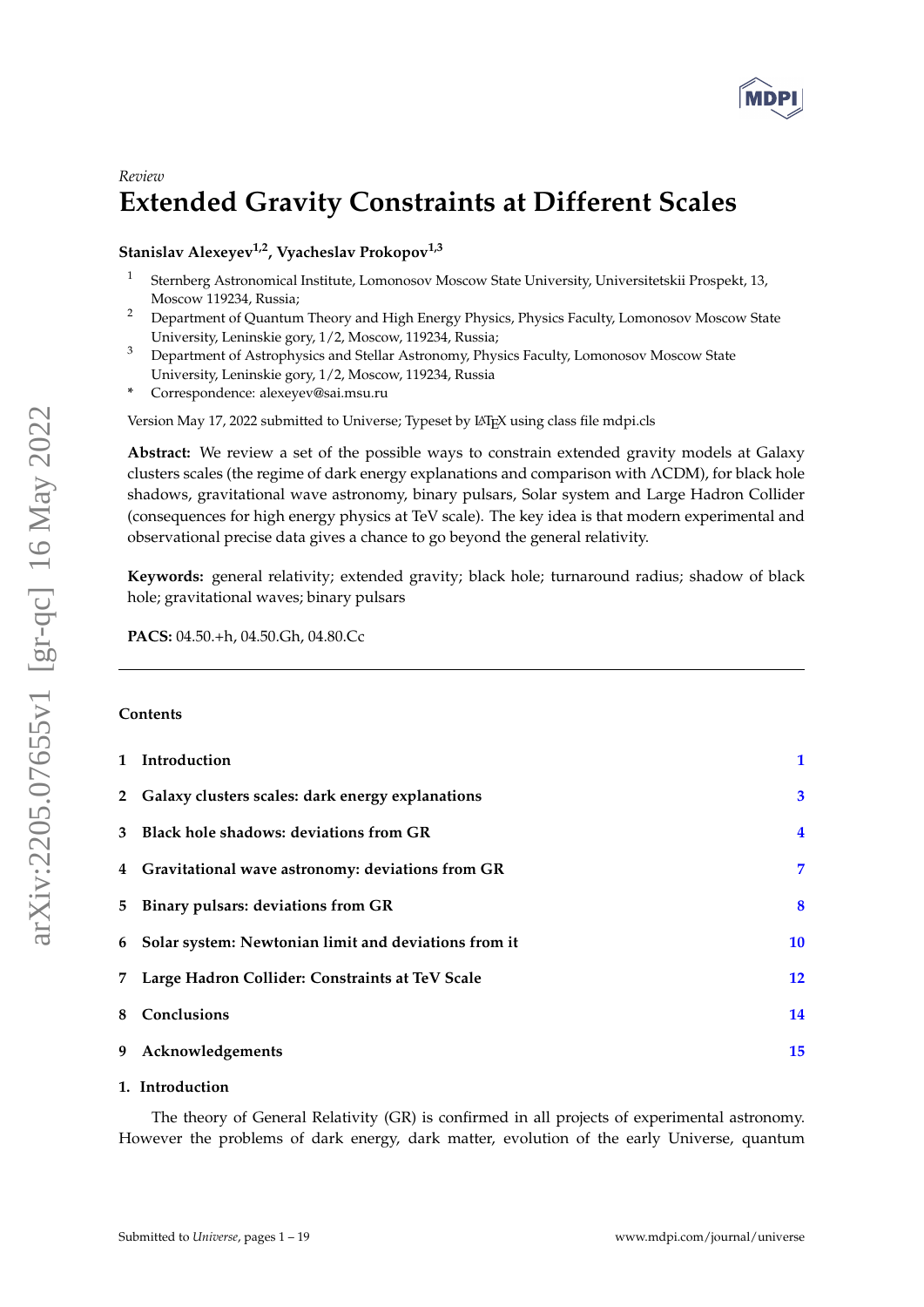

# *Review* **Extended Gravity Constraints at Different Scales**

**Stanislav Alexeyev1,2, Vyacheslav Prokopov1,3**

- 1 Sternberg Astronomical Institute, Lomonosov Moscow State University, Universitetskii Prospekt, 13, Moscow 119234, Russia;
- <sup>2</sup> Department of Quantum Theory and High Energy Physics, Physics Faculty, Lomonosov Moscow State University, Leninskie gory, 1/2, Moscow, 119234, Russia;
- <sup>3</sup> Department of Astrophysics and Stellar Astronomy, Physics Faculty, Lomonosov Moscow State University, Leninskie gory, 1/2, Moscow, 119234, Russia
- **\*** Correspondence: alexeyev@sai.msu.ru

Version May 17, 2022 submitted to Universe; Typeset by LATEX using class file mdpi.cls

**Abstract:** We review a set of the possible ways to constrain extended gravity models at Galaxy clusters scales (the regime of dark energy explanations and comparison with ΛCDM), for black hole shadows, gravitational wave astronomy, binary pulsars, Solar system and Large Hadron Collider (consequences for high energy physics at TeV scale). The key idea is that modern experimental and observational precise data gives a chance to go beyond the general relativity.

**Keywords:** general relativity; extended gravity; black hole; turnaround radius; shadow of black hole; gravitational waves; binary pulsars

**PACS:** 04.50.+h, 04.50.Gh, 04.80.Cc

## **Contents**

|   | 1 Introduction                                       | 1                 |
|---|------------------------------------------------------|-------------------|
|   | 2 Galaxy clusters scales: dark energy explanations   | $\mathbf{3}$      |
| 3 | Black hole shadows: deviations from GR               | $\overline{4}$    |
|   | 4 Gravitational wave astronomy: deviations from GR   | 7                 |
|   | 5 Binary pulsars: deviations from GR                 | 8                 |
| 6 | Solar system: Newtonian limit and deviations from it | 10                |
| 7 | Large Hadron Collider: Constraints at TeV Scale      | $12 \ \mathsf{ }$ |
| 8 | Conclusions                                          | 14                |
| 9 | Acknowledgements                                     | 15                |

# <span id="page-0-0"></span>**1. Introduction**

The theory of General Relativity (GR) is confirmed in all projects of experimental astronomy. However the problems of dark energy, dark matter, evolution of the early Universe, quantum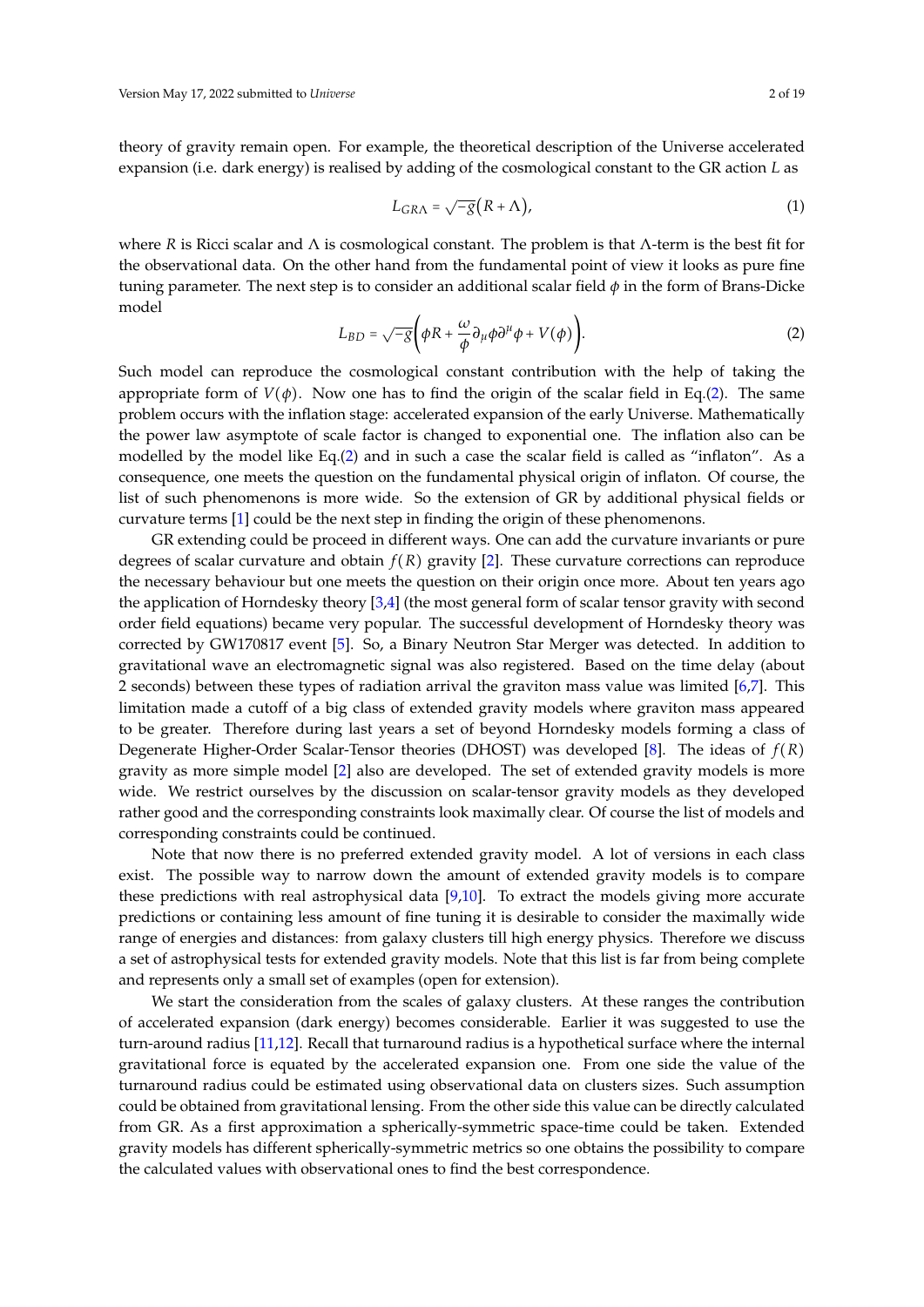theory of gravity remain open. For example, the theoretical description of the Universe accelerated expansion (i.e. dark energy) is realised by adding of the cosmological constant to the GR action *L* as

$$
L_{G R \Lambda} = \sqrt{-g} (R + \Lambda), \tag{1}
$$

where *R* is Ricci scalar and Λ is cosmological constant. The problem is that Λ-term is the best fit for the observational data. On the other hand from the fundamental point of view it looks as pure fine tuning parameter. The next step is to consider an additional scalar field *φ* in the form of Brans-Dicke model

<span id="page-1-0"></span>
$$
L_{BD} = \sqrt{-g} \left( \phi R + \frac{\omega}{\phi} \partial_{\mu} \phi \partial^{\mu} \phi + V(\phi) \right).
$$
 (2)

Such model can reproduce the cosmological constant contribution with the help of taking the appropriate form of  $V(\phi)$ . Now one has to find the origin of the scalar field in Eq.[\(2\)](#page-1-0). The same problem occurs with the inflation stage: accelerated expansion of the early Universe. Mathematically the power law asymptote of scale factor is changed to exponential one. The inflation also can be modelled by the model like Eq.[\(2\)](#page-1-0) and in such a case the scalar field is called as "inflaton". As a consequence, one meets the question on the fundamental physical origin of inflaton. Of course, the list of such phenomenons is more wide. So the extension of GR by additional physical fields or curvature terms [\[1\]](#page-14-1) could be the next step in finding the origin of these phenomenons.

GR extending could be proceed in different ways. One can add the curvature invariants or pure degrees of scalar curvature and obtain *f* (*R*) gravity [\[2\]](#page-14-2). These curvature corrections can reproduce the necessary behaviour but one meets the question on their origin once more. About ten years ago the application of Horndesky theory [\[3,](#page-14-3)[4\]](#page-14-4) (the most general form of scalar tensor gravity with second order field equations) became very popular. The successful development of Horndesky theory was corrected by GW170817 event [\[5\]](#page-14-5). So, a Binary Neutron Star Merger was detected. In addition to gravitational wave an electromagnetic signal was also registered. Based on the time delay (about 2 seconds) between these types of radiation arrival the graviton mass value was limited [\[6](#page-14-6)[,7\]](#page-14-7). This limitation made a cutoff of a big class of extended gravity models where graviton mass appeared to be greater. Therefore during last years a set of beyond Horndesky models forming a class of Degenerate Higher-Order Scalar-Tensor theories (DHOST) was developed [\[8\]](#page-14-8). The ideas of *f* (*R*) gravity as more simple model [\[2\]](#page-14-2) also are developed. The set of extended gravity models is more wide. We restrict ourselves by the discussion on scalar-tensor gravity models as they developed rather good and the corresponding constraints look maximally clear. Of course the list of models and corresponding constraints could be continued.

Note that now there is no preferred extended gravity model. A lot of versions in each class exist. The possible way to narrow down the amount of extended gravity models is to compare these predictions with real astrophysical data [\[9,](#page-14-9)[10\]](#page-14-10). To extract the models giving more accurate predictions or containing less amount of fine tuning it is desirable to consider the maximally wide range of energies and distances: from galaxy clusters till high energy physics. Therefore we discuss a set of astrophysical tests for extended gravity models. Note that this list is far from being complete and represents only a small set of examples (open for extension).

We start the consideration from the scales of galaxy clusters. At these ranges the contribution of accelerated expansion (dark energy) becomes considerable. Earlier it was suggested to use the turn-around radius [\[11](#page-14-11)[,12\]](#page-14-12). Recall that turnaround radius is a hypothetical surface where the internal gravitational force is equated by the accelerated expansion one. From one side the value of the turnaround radius could be estimated using observational data on clusters sizes. Such assumption could be obtained from gravitational lensing. From the other side this value can be directly calculated from GR. As a first approximation a spherically-symmetric space-time could be taken. Extended gravity models has different spherically-symmetric metrics so one obtains the possibility to compare the calculated values with observational ones to find the best correspondence.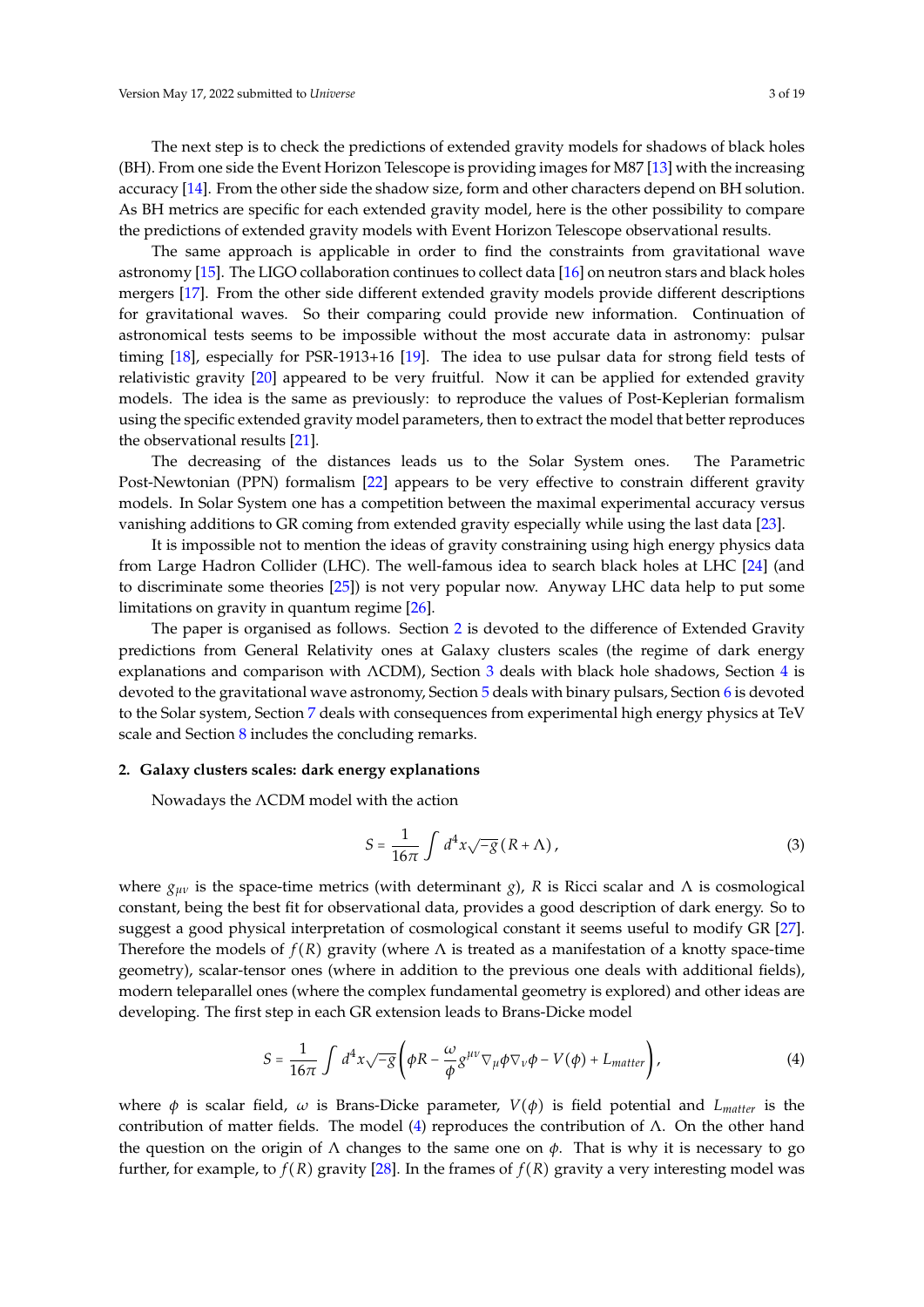The next step is to check the predictions of extended gravity models for shadows of black holes (BH). From one side the Event Horizon Telescope is providing images for M87 [\[13\]](#page-15-0) with the increasing accuracy [\[14\]](#page-15-1). From the other side the shadow size, form and other characters depend on BH solution. As BH metrics are specific for each extended gravity model, here is the other possibility to compare the predictions of extended gravity models with Event Horizon Telescope observational results.

The same approach is applicable in order to find the constraints from gravitational wave astronomy [\[15\]](#page-15-2). The LIGO collaboration continues to collect data [\[16\]](#page-15-3) on neutron stars and black holes mergers [\[17\]](#page-15-4). From the other side different extended gravity models provide different descriptions for gravitational waves. So their comparing could provide new information. Continuation of astronomical tests seems to be impossible without the most accurate data in astronomy: pulsar timing [\[18\]](#page-15-5), especially for PSR-1913+16 [\[19\]](#page-15-6). The idea to use pulsar data for strong field tests of relativistic gravity [\[20\]](#page-15-7) appeared to be very fruitful. Now it can be applied for extended gravity models. The idea is the same as previously: to reproduce the values of Post-Keplerian formalism using the specific extended gravity model parameters, then to extract the model that better reproduces the observational results [\[21\]](#page-15-8).

The decreasing of the distances leads us to the Solar System ones. The Parametric Post-Newtonian (PPN) formalism [\[22\]](#page-15-9) appears to be very effective to constrain different gravity models. In Solar System one has a competition between the maximal experimental accuracy versus vanishing additions to GR coming from extended gravity especially while using the last data [\[23\]](#page-15-10).

It is impossible not to mention the ideas of gravity constraining using high energy physics data from Large Hadron Collider (LHC). The well-famous idea to search black holes at LHC [\[24\]](#page-15-11) (and to discriminate some theories [\[25\]](#page-15-12)) is not very popular now. Anyway LHC data help to put some limitations on gravity in quantum regime [\[26\]](#page-15-13).

The paper is organised as follows. Section [2](#page-2-0) is devoted to the difference of Extended Gravity predictions from General Relativity ones at Galaxy clusters scales (the regime of dark energy explanations and comparison with ΛCDM), Section [3](#page-3-0) deals with black hole shadows, Section [4](#page-6-0) is devoted to the gravitational wave astronomy, Section [5](#page-7-0) deals with binary pulsars, Section [6](#page-9-0) is devoted to the Solar system, Section [7](#page-11-0) deals with consequences from experimental high energy physics at TeV scale and Section [8](#page-13-0) includes the concluding remarks.

## <span id="page-2-0"></span>**2. Galaxy clusters scales: dark energy explanations**

Nowadays the ΛCDM model with the action

$$
S = \frac{1}{16\pi} \int d^4x \sqrt{-g} (R + \Lambda), \qquad (3)
$$

where  $g_{\mu\nu}$  is the space-time metrics (with determinant *g*), *R* is Ricci scalar and Λ is cosmological constant, being the best fit for observational data, provides a good description of dark energy. So to suggest a good physical interpretation of cosmological constant it seems useful to modify GR [\[27\]](#page-15-14). Therefore the models of  $f(R)$  gravity (where  $\Lambda$  is treated as a manifestation of a knotty space-time geometry), scalar-tensor ones (where in addition to the previous one deals with additional fields), modern teleparallel ones (where the complex fundamental geometry is explored) and other ideas are developing. The first step in each GR extension leads to Brans-Dicke model

<span id="page-2-1"></span>
$$
S = \frac{1}{16\pi} \int d^4x \sqrt{-g} \left( \phi R - \frac{\omega}{\phi} g^{\mu\nu} \nabla_{\mu} \phi \nabla_{\nu} \phi - V(\phi) + L_{matter} \right), \tag{4}
$$

where  $\phi$  is scalar field,  $\omega$  is Brans-Dicke parameter,  $V(\phi)$  is field potential and *L<sub>matter</sub>* is the contribution of matter fields. The model [\(4\)](#page-2-1) reproduces the contribution of  $\Lambda$ . On the other hand the question on the origin of  $\Lambda$  changes to the same one on  $\phi$ . That is why it is necessary to go further, for example, to  $f(R)$  gravity [\[28\]](#page-15-15). In the frames of  $f(R)$  gravity a very interesting model was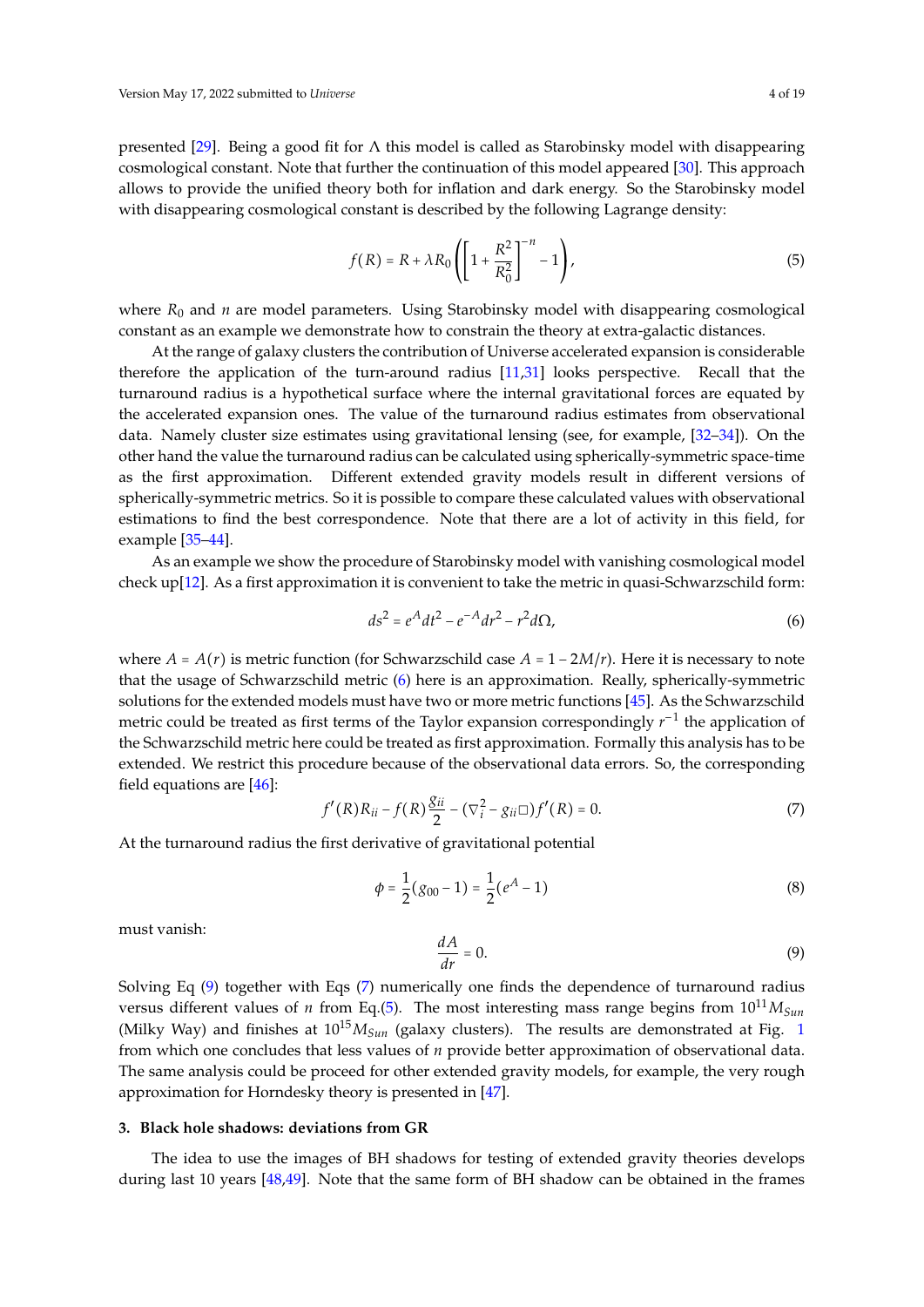presented [\[29\]](#page-15-16). Being a good fit for  $\Lambda$  this model is called as Starobinsky model with disappearing cosmological constant. Note that further the continuation of this model appeared [\[30\]](#page-15-17). This approach allows to provide the unified theory both for inflation and dark energy. So the Starobinsky model with disappearing cosmological constant is described by the following Lagrange density:

<span id="page-3-4"></span>
$$
f(R) = R + \lambda R_0 \left( \left[ 1 + \frac{R^2}{R_0^2} \right]^{-n} - 1 \right),
$$
 (5)

where  $R_0$  and *n* are model parameters. Using Starobinsky model with disappearing cosmological constant as an example we demonstrate how to constrain the theory at extra-galactic distances.

At the range of galaxy clusters the contribution of Universe accelerated expansion is considerable therefore the application of the turn-around radius [\[11](#page-14-11)[,31\]](#page-15-18) looks perspective. Recall that the turnaround radius is a hypothetical surface where the internal gravitational forces are equated by the accelerated expansion ones. The value of the turnaround radius estimates from observational data. Namely cluster size estimates using gravitational lensing (see, for example, [\[32](#page-15-19)[–34\]](#page-15-20)). On the other hand the value the turnaround radius can be calculated using spherically-symmetric space-time as the first approximation. Different extended gravity models result in different versions of spherically-symmetric metrics. So it is possible to compare these calculated values with observational estimations to find the best correspondence. Note that there are a lot of activity in this field, for example [\[35–](#page-15-21)[44\]](#page-16-0).

As an example we show the procedure of Starobinsky model with vanishing cosmological model check up[\[12\]](#page-14-12). As a first approximation it is convenient to take the metric in quasi-Schwarzschild form:

<span id="page-3-1"></span>
$$
ds^2 = e^A dt^2 - e^{-A} dr^2 - r^2 d\Omega,
$$
\t(6)

where  $A = A(r)$  is metric function (for Schwarzschild case  $A = 1 - 2M/r$ ). Here it is necessary to note that the usage of Schwarzschild metric [\(6\)](#page-3-1) here is an approximation. Really, spherically-symmetric solutions for the extended models must have two or more metric functions [\[45\]](#page-16-1). As the Schwarzschild metric could be treated as first terms of the Taylor expansion correspondingly *r*<sup>-1</sup> the application of the Schwarzschild metric here could be treated as first approximation. Formally this analysis has to be extended. We restrict this procedure because of the observational data errors. So, the corresponding field equations are [\[46\]](#page-16-2):

<span id="page-3-3"></span>
$$
f'(R)R_{ii} - f(R)\frac{g_{ii}}{2} - (\nabla_i^2 - g_{ii}\square)f'(R) = 0.
$$
 (7)

At the turnaround radius the first derivative of gravitational potential

$$
\phi = \frac{1}{2}(g_{00} - 1) = \frac{1}{2}(e^A - 1)
$$
\n(8)

must vanish:

<span id="page-3-2"></span>
$$
\frac{dA}{dr} = 0.\t\t(9)
$$

Solving Eq [\(9\)](#page-3-2) together with Eqs [\(7\)](#page-3-3) numerically one finds the dependence of turnaround radius versus different values of *n* from Eq.[\(5\)](#page-3-4). The most interesting mass range begins from  $10^{11}M_{Sun}$ (Milky Way) and finishes at  $10^{15}M_{Sun}$  $10^{15}M_{Sun}$  (galaxy clusters). The results are demonstrated at Fig. 1 from which one concludes that less values of *n* provide better approximation of observational data. The same analysis could be proceed for other extended gravity models, for example, the very rough approximation for Horndesky theory is presented in [\[47\]](#page-16-3).

# <span id="page-3-0"></span>**3. Black hole shadows: deviations from GR**

The idea to use the images of BH shadows for testing of extended gravity theories develops during last 10 years [\[48,](#page-16-4)[49\]](#page-16-5). Note that the same form of BH shadow can be obtained in the frames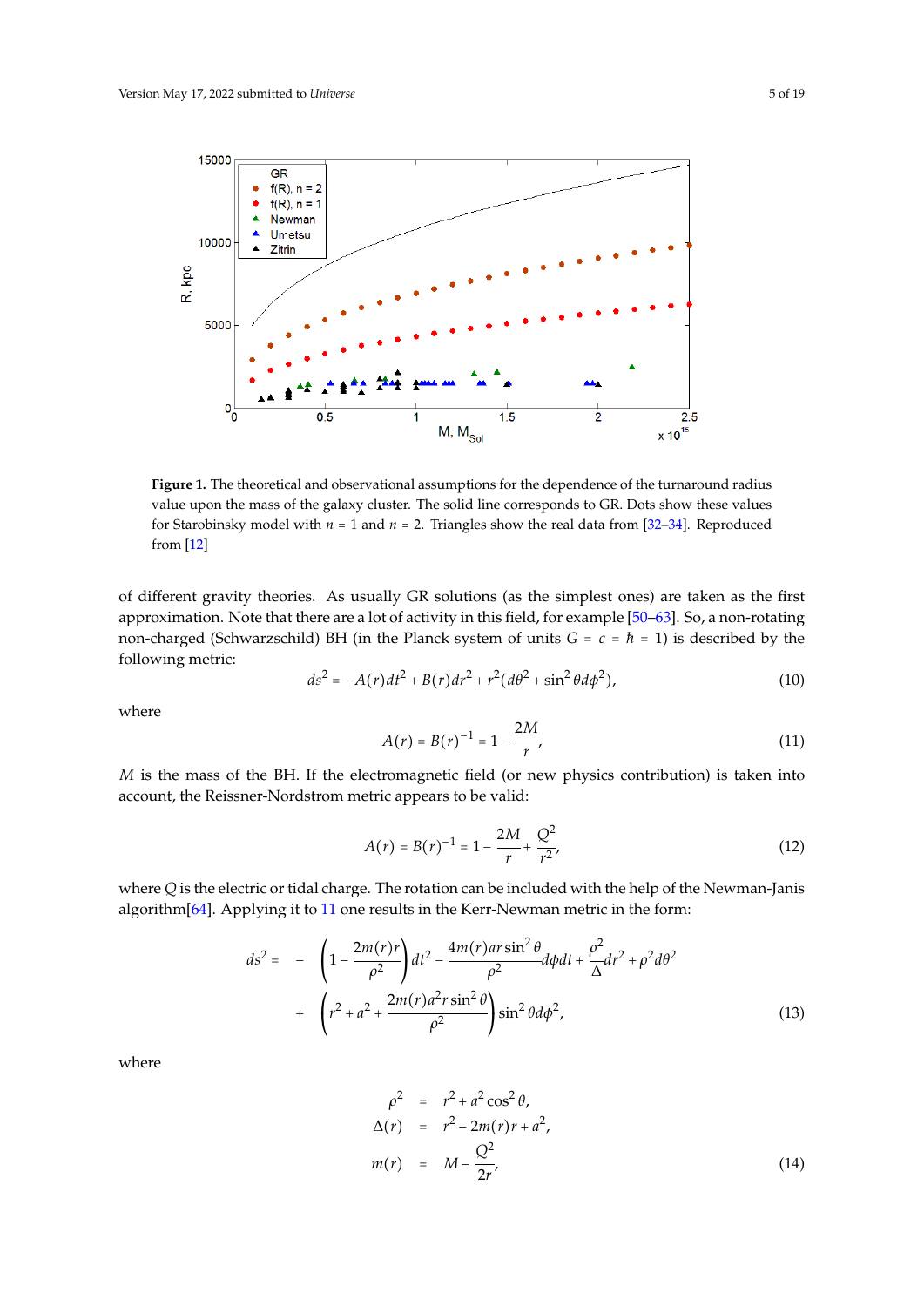<span id="page-4-0"></span>

**Figure 1.** The theoretical and observational assumptions for the dependence of the turnaround radius value upon the mass of the galaxy cluster. The solid line corresponds to GR. Dots show these values for Starobinsky model with  $n = 1$  and  $n = 2$ . Triangles show the real data from [\[32](#page-15-19)[–34\]](#page-15-20). Reproduced from [\[12\]](#page-14-12)

of different gravity theories. As usually GR solutions (as the simplest ones) are taken as the first approximation. Note that there are a lot of activity in this field, for example [\[50](#page-16-6)[–63\]](#page-16-7). So, a non-rotating non-charged (Schwarzschild) BH (in the Planck system of units *<sup>G</sup>* <sup>=</sup> *<sup>c</sup>* <sup>=</sup> ̵*<sup>h</sup>* <sup>=</sup> 1) is described by the following metric:

<span id="page-4-2"></span>
$$
ds^{2} = -A(r)dt^{2} + B(r)dr^{2} + r^{2}(d\theta^{2} + \sin^{2}\theta d\phi^{2}),
$$
\n(10)

where

<span id="page-4-1"></span>
$$
A(r) = B(r)^{-1} = 1 - \frac{2M}{r},
$$
\n(11)

*M* is the mass of the BH. If the electromagnetic field (or new physics contribution) is taken into account, the Reissner-Nordstrom metric appears to be valid:

$$
A(r) = B(r)^{-1} = 1 - \frac{2M}{r} + \frac{Q^2}{r^2},
$$
\n(12)

where *Q* is the electric or tidal charge. The rotation can be included with the help of the Newman-Janis algorithm[\[64\]](#page-17-0). Applying it to [11](#page-4-1) one results in the Kerr-Newman metric in the form:

$$
ds^{2} = -\left(1 - \frac{2m(r)r}{\rho^{2}}\right)dt^{2} - \frac{4m(r)ar\sin^{2}\theta}{\rho^{2}}d\phi dt + \frac{\rho^{2}}{\Delta}dr^{2} + \rho^{2}d\theta^{2} + \left(r^{2} + a^{2} + \frac{2m(r)a^{2}r\sin^{2}\theta}{\rho^{2}}\right)\sin^{2}\theta d\phi^{2},
$$
\n(13)

where

$$
\rho^2 = r^2 + a^2 \cos^2 \theta, \n\Delta(r) = r^2 - 2m(r)r + a^2, \nm(r) = M - \frac{Q^2}{2r},
$$
\n(14)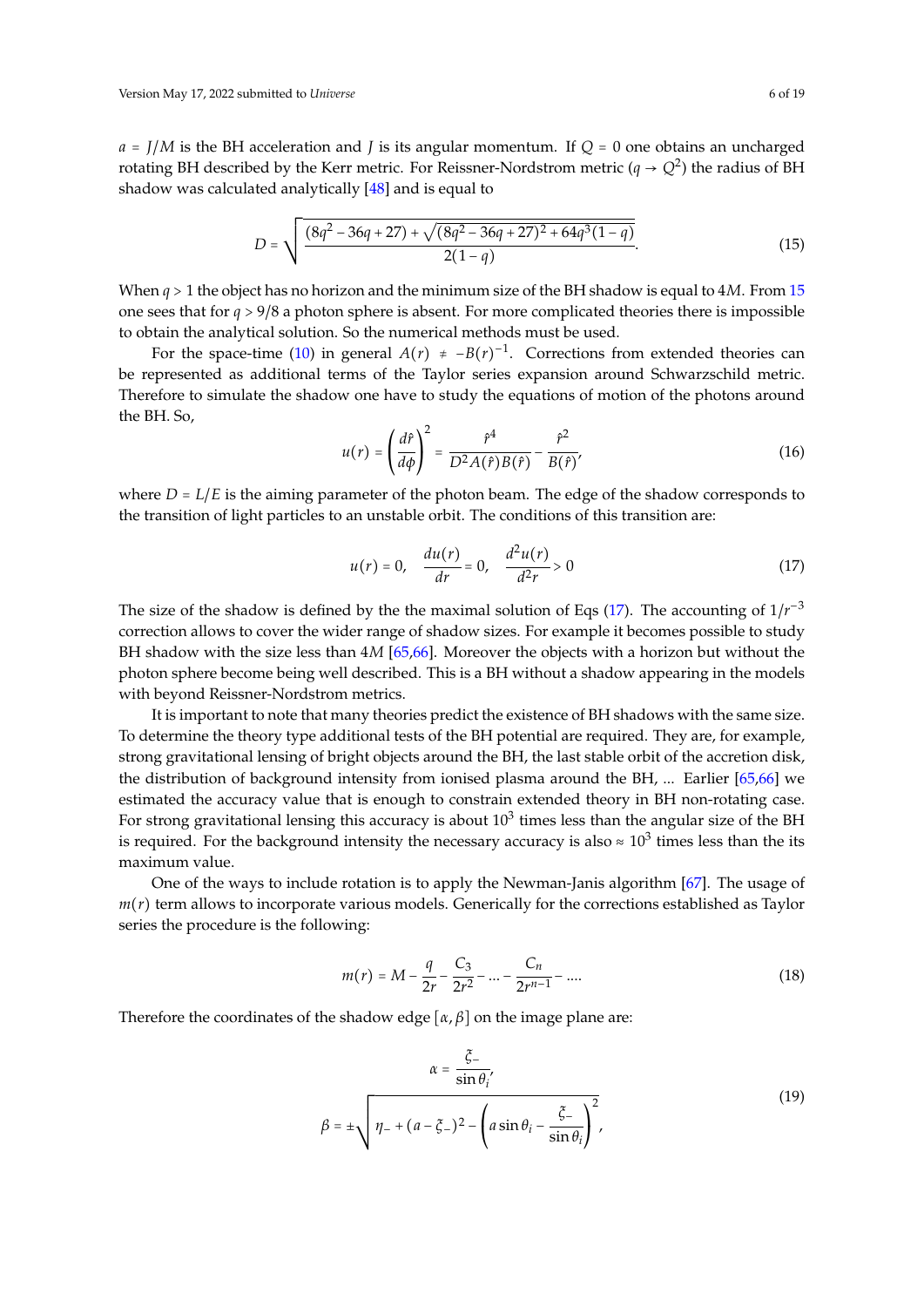*<sup>a</sup>* <sup>=</sup> *<sup>J</sup>*/*<sup>M</sup>* is the BH acceleration and *<sup>J</sup>* is its angular momentum. If *<sup>Q</sup>* <sup>=</sup> 0 one obtains an uncharged rotating BH described by the Kerr metric. For Reissner-Nordstrom metric ( $q \to Q^2$ ) the radius of BH shadow was calculated analytically [\[48\]](#page-16-4) and is equal to

<span id="page-5-0"></span>
$$
D = \sqrt{\frac{(8q^2 - 36q + 27) + \sqrt{(8q^2 - 36q + 27)^2 + 64q^3(1 - q)}}{2(1 - q)}}.
$$
(15)

When *<sup>q</sup>* <sup>&</sup>gt; 1 the object has no horizon and the minimum size of the BH shadow is equal to 4*M*. From [15](#page-5-0) one sees that for *<sup>q</sup>* <sup>&</sup>gt; <sup>9</sup>/8 a photon sphere is absent. For more complicated theories there is impossible to obtain the analytical solution. So the numerical methods must be used.

For the space-time [\(10\)](#page-4-2) in general  $A(r) \neq -B(r)^{-1}$ . Corrections from extended theories can be represented as additional terms of the Taylor series expansion around Schwarzschild metric. Therefore to simulate the shadow one have to study the equations of motion of the photons around the BH. So,

$$
u(r) = \left(\frac{d\hat{r}}{d\phi}\right)^2 = \frac{\hat{r}^4}{D^2 A(\hat{r})B(\hat{r})} - \frac{\hat{r}^2}{B(\hat{r})},\tag{16}
$$

where  $D = L/E$  is the aiming parameter of the photon beam. The edge of the shadow corresponds to the transition of light particles to an unstable orbit. The conditions of this transition are:

<span id="page-5-1"></span>
$$
u(r) = 0, \quad \frac{du(r)}{dr} = 0, \quad \frac{d^2u(r)}{d^2r} > 0
$$
 (17)

The size of the shadow is defined by the the maximal solution of Eqs  $(17)$ . The accounting of  $1/r^{-3}$ correction allows to cover the wider range of shadow sizes. For example it becomes possible to study BH shadow with the size less than 4*M* [\[65,](#page-17-1)[66\]](#page-17-2). Moreover the objects with a horizon but without the photon sphere become being well described. This is a BH without a shadow appearing in the models with beyond Reissner-Nordstrom metrics.

It is important to note that many theories predict the existence of BH shadows with the same size. To determine the theory type additional tests of the BH potential are required. They are, for example, strong gravitational lensing of bright objects around the BH, the last stable orbit of the accretion disk, the distribution of background intensity from ionised plasma around the BH, ... Earlier [\[65,](#page-17-1)[66\]](#page-17-2) we estimated the accuracy value that is enough to constrain extended theory in BH non-rotating case. For strong gravitational lensing this accuracy is about  $10^3$  times less than the angular size of the BH is required. For the background intensity the necessary accuracy is also  $\approx 10^3$  times less than the its maximum value.

One of the ways to include rotation is to apply the Newman-Janis algorithm  $[67]$ . The usage of *m*(*r*) term allows to incorporate various models. Generically for the corrections established as Taylor series the procedure is the following:

$$
m(r) = M - \frac{q}{2r} - \frac{C_3}{2r^2} - \dots - \frac{C_n}{2r^{n-1}} - \dots
$$
 (18)

Therefore the coordinates of the shadow edge  $[\alpha, \beta]$  on the image plane are:

$$
\alpha = \frac{\xi_{-}}{\sin \theta_{i}},
$$
  

$$
\beta = \pm \sqrt{\eta_{-} + (a - \xi_{-})^2 - \left(a \sin \theta_{i} - \frac{\xi_{-}}{\sin \theta_{i}}\right)^2},
$$
 (19)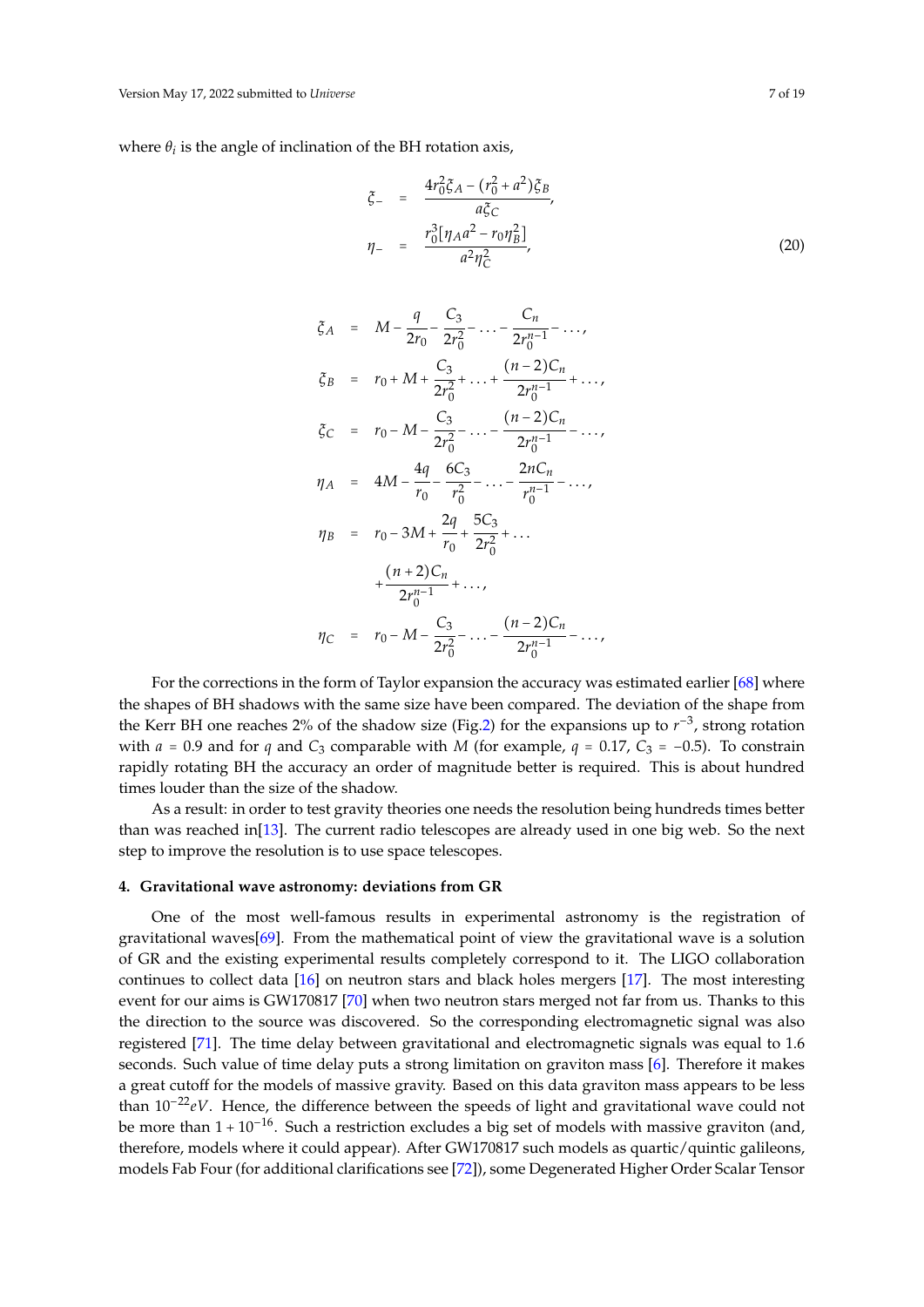where  $\theta_i$  is the angle of inclination of the BH rotation axis,

$$
\xi_{-} = \frac{4r_0^2 \xi_A - (r_0^2 + a^2)\xi_B}{a\xi_C},
$$
\n
$$
\eta_{-} = \frac{r_0^3[\eta_A a^2 - r_0 \eta_B^2]}{a^2 \eta_C^2},
$$
\n(20)

$$
\zeta_A = M - \frac{q}{2r_0} - \frac{C_3}{2r_0^2} - \dots - \frac{C_n}{2r_0^{n-1}} - \dots,
$$
\n
$$
\zeta_B = r_0 + M + \frac{C_3}{2r_0^2} + \dots + \frac{(n-2)C_n}{2r_0^{n-1}} + \dots,
$$
\n
$$
\zeta_C = r_0 - M - \frac{C_3}{2r_0^2} - \dots - \frac{(n-2)C_n}{2r_0^{n-1}} - \dots,
$$
\n
$$
\eta_A = 4M - \frac{4q}{r_0} - \frac{6C_3}{r_0^2} - \dots - \frac{2nC_n}{r_0^{n-1}} - \dots,
$$
\n
$$
\eta_B = r_0 - 3M + \frac{2q}{r_0} + \frac{5C_3}{2r_0^2} + \dots
$$
\n
$$
+\frac{(n+2)C_n}{2r_0^{n-1}} + \dots,
$$
\n
$$
\eta_C = r_0 - M - \frac{C_3}{2r_0^2} - \dots - \frac{(n-2)C_n}{2r_0^{n-1}} - \dots,
$$

For the corrections in the form of Taylor expansion the accuracy was estimated earlier [\[68\]](#page-17-4) where the shapes of BH shadows with the same size have been compared. The deviation of the shape from the Kerr BH one reaches 2% of the shadow size (Fig[.2\)](#page-7-1) for the expansions up to  $r^{-3}$ , strong rotation with  $a = 0.9$  and for  $q$  and  $C_3$  comparable with *M* (for example,  $q = 0.17$ ,  $C_3 = -0.5$ ). To constrain rapidly rotating BH the accuracy an order of magnitude better is required. This is about hundred times louder than the size of the shadow.

As a result: in order to test gravity theories one needs the resolution being hundreds times better than was reached in[\[13\]](#page-15-0). The current radio telescopes are already used in one big web. So the next step to improve the resolution is to use space telescopes.

#### <span id="page-6-0"></span>**4. Gravitational wave astronomy: deviations from GR**

One of the most well-famous results in experimental astronomy is the registration of gravitational waves[\[69\]](#page-17-5). From the mathematical point of view the gravitational wave is a solution of GR and the existing experimental results completely correspond to it. The LIGO collaboration continues to collect data [\[16\]](#page-15-3) on neutron stars and black holes mergers [\[17\]](#page-15-4). The most interesting event for our aims is GW170817 [\[70\]](#page-17-6) when two neutron stars merged not far from us. Thanks to this the direction to the source was discovered. So the corresponding electromagnetic signal was also registered [\[71\]](#page-17-7). The time delay between gravitational and electromagnetic signals was equal to 1.6 seconds. Such value of time delay puts a strong limitation on graviton mass [\[6\]](#page-14-6). Therefore it makes a great cutoff for the models of massive gravity. Based on this data graviton mass appears to be less than 10−22*eV*. Hence, the difference between the speeds of light and gravitational wave could not be more than  $1 + 10^{-16}$ . Such a restriction excludes a big set of models with massive graviton (and, therefore, models where it could appear). After GW170817 such models as quartic/quintic galileons, models Fab Four (for additional clarifications see [\[72\]](#page-17-8)), some Degenerated Higher Order Scalar Tensor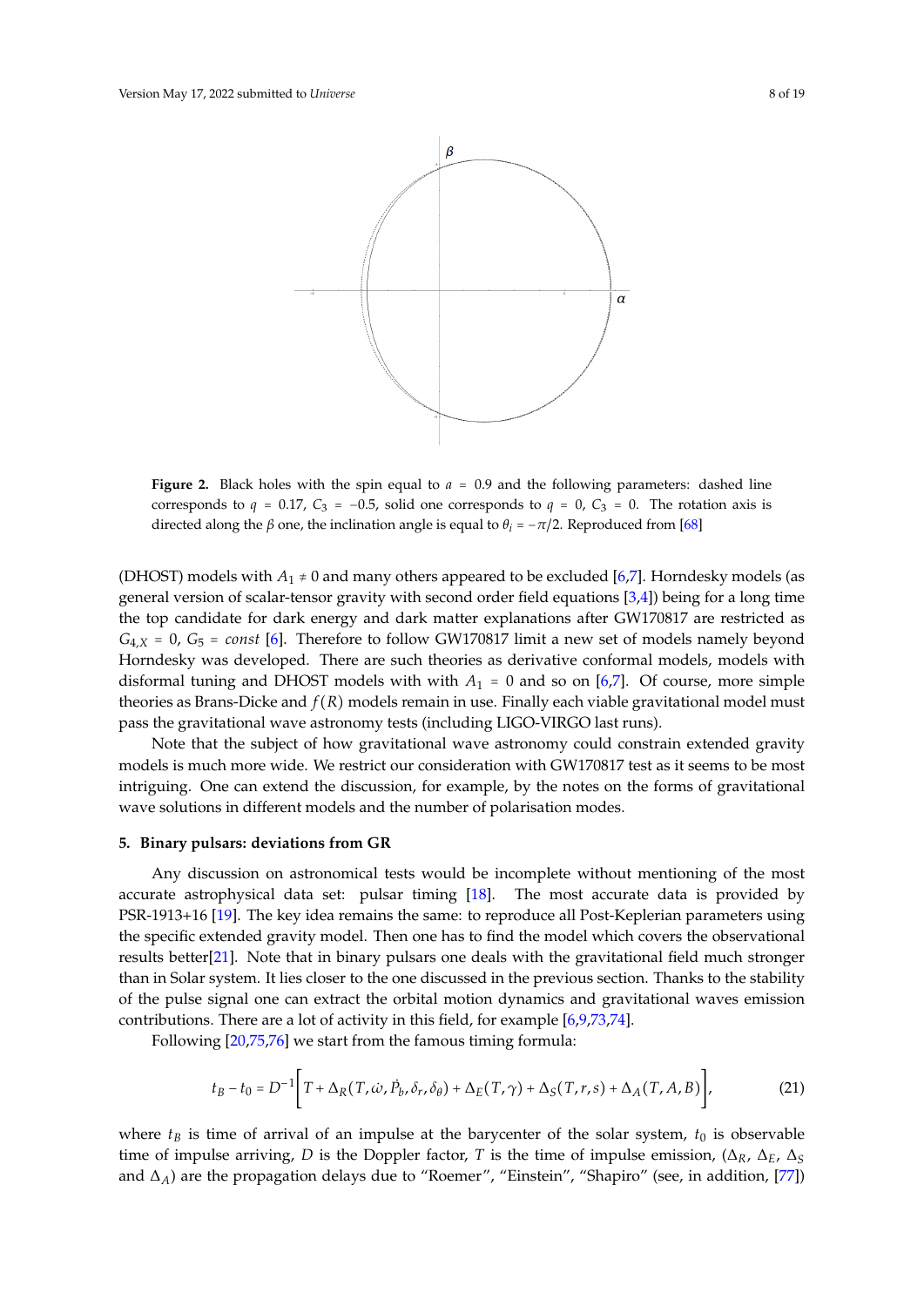<span id="page-7-1"></span>

**Figure 2.** Black holes with the spin equal to  $a = 0.9$  and the following parameters: dashed line corresponds to  $q = 0.17$ ,  $C_3 = -0.5$ , solid one corresponds to  $q = 0$ ,  $C_3 = 0$ . The rotation axis is directed along the *β* one, the inclination angle is equal to  $\theta_i = -\pi/2$ . Reproduced from [\[68\]](#page-17-4)

(DHOST) models with  $A_1 \neq 0$  and many others appeared to be excluded [\[6,](#page-14-6)[7\]](#page-14-7). Horndesky models (as general version of scalar-tensor gravity with second order field equations  $[3,4]$  $[3,4]$ ) being for a long time the top candidate for dark energy and dark matter explanations after GW170817 are restricted as  $G_{4,X}$  = 0,  $G_5$  = *const* [\[6\]](#page-14-6). Therefore to follow GW170817 limit a new set of models namely beyond Horndesky was developed. There are such theories as derivative conformal models, models with disformal tuning and DHOST models with with  $A_1 = 0$  and so on [\[6,](#page-14-6)[7\]](#page-14-7). Of course, more simple theories as Brans-Dicke and *f* (*R*) models remain in use. Finally each viable gravitational model must pass the gravitational wave astronomy tests (including LIGO-VIRGO last runs).

Note that the subject of how gravitational wave astronomy could constrain extended gravity models is much more wide. We restrict our consideration with GW170817 test as it seems to be most intriguing. One can extend the discussion, for example, by the notes on the forms of gravitational wave solutions in different models and the number of polarisation modes.

#### <span id="page-7-0"></span>**5. Binary pulsars: deviations from GR**

Any discussion on astronomical tests would be incomplete without mentioning of the most accurate astrophysical data set: pulsar timing [\[18\]](#page-15-5). The most accurate data is provided by PSR-1913+16 [\[19\]](#page-15-6). The key idea remains the same: to reproduce all Post-Keplerian parameters using the specific extended gravity model. Then one has to find the model which covers the observational results better[\[21\]](#page-15-8). Note that in binary pulsars one deals with the gravitational field much stronger than in Solar system. It lies closer to the one discussed in the previous section. Thanks to the stability of the pulse signal one can extract the orbital motion dynamics and gravitational waves emission contributions. There are a lot of activity in this field, for example [\[6](#page-14-6)[,9,](#page-14-9)[73,](#page-17-9)[74\]](#page-17-10).

Following [\[20](#page-15-7)[,75](#page-17-11)[,76\]](#page-17-12) we start from the famous timing formula:

$$
t_B - t_0 = D^{-1} \bigg[ T + \Delta_R(T, \dot{\omega}, \dot{P}_b, \delta_r, \delta_\theta) + \Delta_E(T, \gamma) + \Delta_S(T, r, s) + \Delta_A(T, A, B) \bigg],
$$
(21)

where  $t<sub>B</sub>$  is time of arrival of an impulse at the barycenter of the solar system,  $t<sub>0</sub>$  is observable time of impulse arriving, *D* is the Doppler factor, *T* is the time of impulse emission,  $(\Delta_R, \Delta_E, \Delta_S)$ and ∆*A*) are the propagation delays due to "Roemer", "Einstein", "Shapiro" (see, in addition, [\[77\]](#page-17-13))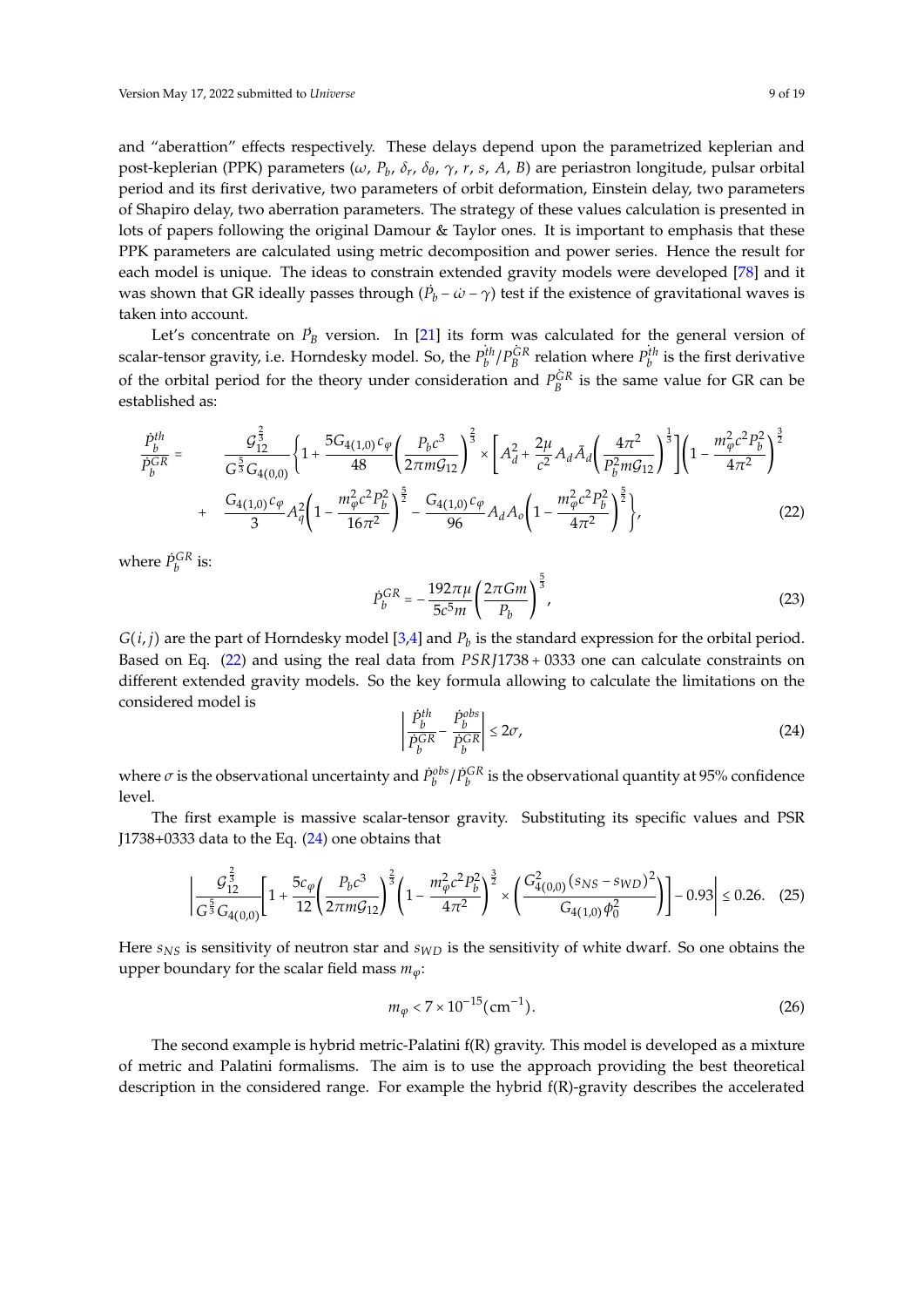and "aberattion" effects respectively. These delays depend upon the parametrized keplerian and post-keplerian (PPK) parameters (*ω*, *P<sup>b</sup>* , *δr* , *δ<sup>θ</sup>* , *γ*, *r*, *s*, *A*, *B*) are periastron longitude, pulsar orbital period and its first derivative, two parameters of orbit deformation, Einstein delay, two parameters of Shapiro delay, two aberration parameters. The strategy of these values calculation is presented in lots of papers following the original Damour & Taylor ones. It is important to emphasis that these PPK parameters are calculated using metric decomposition and power series. Hence the result for each model is unique. The ideas to constrain extended gravity models were developed [\[78\]](#page-17-14) and it was shown that GR ideally passes through  $(\dot{P}_b - \dot{\omega} - \gamma)$  test if the existence of gravitational waves is taken into account.

Let's concentrate on  $\dot{P}_B$  version. In [\[21\]](#page-15-8) its form was calculated for the general version of scalar-tensor gravity, i.e. Horndesky model. So, the  $P_b^{th}/P_B^{GR}$  relation where  $P_b^{th}$  is the first derivative of the orbital period for the theory under consideration and  $P_B^{\dot{G}R}$  is the same value for GR can be established as:

<span id="page-8-0"></span>
$$
\frac{\dot{P}_{b}^{th}}{\dot{P}_{b}^{GR}} = \frac{g_{12}^{\frac{2}{3}}}{G^{\frac{5}{3}}G_{4(0,0)}} \left\{ 1 + \frac{5G_{4(1,0)}c_{\varphi}}{48} \left( \frac{P_{b}c^{3}}{2\pi mG_{12}} \right)^{\frac{2}{3}} \times \left[ A_{d}^{2} + \frac{2\mu}{c^{2}} A_{d} \bar{A}_{d} \left( \frac{4\pi^{2}}{P_{b}^{2}mG_{12}} \right)^{\frac{1}{3}} \right] \left( 1 - \frac{m_{\varphi}^{2}c^{2}P_{b}^{2}}{4\pi^{2}} \right)^{\frac{3}{2}} + \frac{G_{4(1,0)}c_{\varphi}}{3} A_{\varphi}^{2} \left( 1 - \frac{m_{\varphi}^{2}c^{2}P_{b}^{2}}{16\pi^{2}} \right)^{\frac{5}{2}} - \frac{G_{4(1,0)}c_{\varphi}}{96} A_{d} A_{o} \left( 1 - \frac{m_{\varphi}^{2}c^{2}P_{b}^{2}}{4\pi^{2}} \right)^{\frac{5}{2}} \right\},
$$
\n(22)

where  $\dot{P}_b^{GR}$  is:

$$
\dot{P}_b^{GR} = -\frac{192\pi\mu}{5c^5 m} \left(\frac{2\pi Gm}{P_b}\right)^{\frac{5}{3}},\tag{23}
$$

 $G(i, j)$  are the part of Horndesky model [\[3,](#page-14-3)[4\]](#page-14-4) and  $P_b$  is the standard expression for the orbital period. Based on Eq. [\(22\)](#page-8-0) and using the real data from *PSR J*1738 + 0333 one can calculate constraints on different extended gravity models. So the key formula allowing to calculate the limitations on the considered model is

<span id="page-8-1"></span>
$$
\left| \frac{\dot{P}_b^{th}}{\dot{P}_b^{GR}} - \frac{\dot{P}_b^{obs}}{\dot{P}_b^{GR}} \right| \le 2\sigma,\tag{24}
$$

where  $\sigma$  is the observational uncertainty and  $\dot{P}_b^{obs}/\dot{P}_b^{GR}$  is the observational quantity at 95% confidence level.

The first example is massive scalar-tensor gravity. Substituting its specific values and PSR J1738+0333 data to the Eq.  $(24)$  one obtains that

$$
\left| \frac{\mathcal{G}_{12}^{\frac{2}{3}}}{G^{\frac{5}{3}} G_{4(0,0)}} \left[ 1 + \frac{5c_{\varphi}}{12} \left( \frac{P_b c^3}{2\pi m \mathcal{G}_{12}} \right)^{\frac{2}{3}} \left( 1 - \frac{m_{\varphi}^2 c^2 P_b^2}{4\pi^2} \right)^{\frac{3}{2}} \times \left( \frac{G_{4(0,0)}^2 (s_{NS} - s_{WD})^2}{G_{4(1,0)} \phi_0^2} \right) \right] - 0.93 \right| \le 0.26. \tag{25}
$$

Here *sNS* is sensitivity of neutron star and *sWD* is the sensitivity of white dwarf. So one obtains the upper boundary for the scalar field mass *mϕ*:

$$
m_{\varphi} < 7 \times 10^{-15} \, \text{(cm}^{-1}).\tag{26}
$$

The second example is hybrid metric-Palatini f(R) gravity. This model is developed as a mixture of metric and Palatini formalisms. The aim is to use the approach providing the best theoretical description in the considered range. For example the hybrid f(R)-gravity describes the accelerated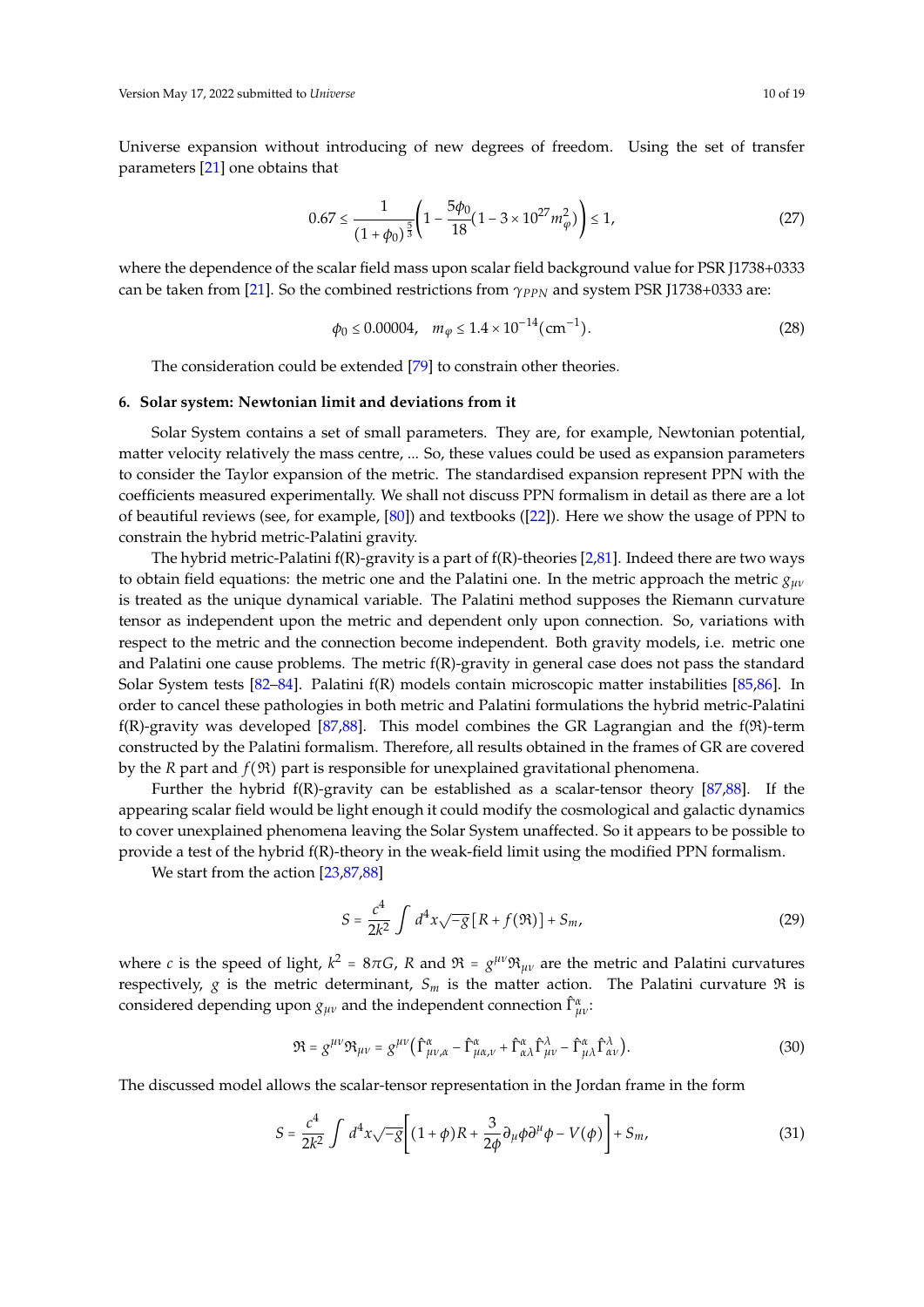Universe expansion without introducing of new degrees of freedom. Using the set of transfer parameters [\[21\]](#page-15-8) one obtains that

$$
0.67 \le \frac{1}{\left(1+\phi_0\right)^{\frac{5}{3}}} \left(1 - \frac{5\phi_0}{18} \left(1 - 3 \times 10^{27} m_\varphi^2\right)\right) \le 1,\tag{27}
$$

where the dependence of the scalar field mass upon scalar field background value for PSR J1738+0333 can be taken from [\[21\]](#page-15-8). So the combined restrictions from *γPPN* and system PSR J1738+0333 are:

$$
\phi_0 \le 0.00004, \quad m_\varphi \le 1.4 \times 10^{-14} \, \text{(cm}^{-1}).\tag{28}
$$

The consideration could be extended [\[79\]](#page-17-15) to constrain other theories.

#### <span id="page-9-0"></span>**6. Solar system: Newtonian limit and deviations from it**

Solar System contains a set of small parameters. They are, for example, Newtonian potential, matter velocity relatively the mass centre, ... So, these values could be used as expansion parameters to consider the Taylor expansion of the metric. The standardised expansion represent PPN with the coefficients measured experimentally. We shall not discuss PPN formalism in detail as there are a lot of beautiful reviews (see, for example, [\[80\]](#page-17-16)) and textbooks ([\[22\]](#page-15-9)). Here we show the usage of PPN to constrain the hybrid metric-Palatini gravity.

The hybrid metric-Palatini  $f(R)$ -gravity is a part of  $f(R)$ -theories [\[2](#page-14-2)[,81\]](#page-17-17). Indeed there are two ways to obtain field equations: the metric one and the Palatini one. In the metric approach the metric *gµν* is treated as the unique dynamical variable. The Palatini method supposes the Riemann curvature tensor as independent upon the metric and dependent only upon connection. So, variations with respect to the metric and the connection become independent. Both gravity models, i.e. metric one and Palatini one cause problems. The metric f(R)-gravity in general case does not pass the standard Solar System tests [\[82](#page-17-18)[–84\]](#page-17-19). Palatini f(R) models contain microscopic matter instabilities [\[85](#page-17-20)[,86\]](#page-17-21). In order to cancel these pathologies in both metric and Palatini formulations the hybrid metric-Palatini f(R)-gravity was developed [\[87,](#page-17-22)[88\]](#page-17-23). This model combines the GR Lagrangian and the  $f(\mathfrak{R})$ -term constructed by the Palatini formalism. Therefore, all results obtained in the frames of GR are covered by the *R* part and  $f(\mathfrak{R})$  part is responsible for unexplained gravitational phenomena.

Further the hybrid  $f(R)$ -gravity can be established as a scalar-tensor theory [\[87](#page-17-22)[,88\]](#page-17-23). If the appearing scalar field would be light enough it could modify the cosmological and galactic dynamics to cover unexplained phenomena leaving the Solar System unaffected. So it appears to be possible to provide a test of the hybrid f(R)-theory in the weak-field limit using the modified PPN formalism.

We start from the action [\[23](#page-15-10)[,87](#page-17-22)[,88\]](#page-17-23)

$$
S = \frac{c^4}{2k^2} \int d^4x \sqrt{-g} [R + f(\Re)] + S_m,
$$
 (29)

where *c* is the speed of light,  $k^2 = 8\pi G$ , *R* and  $\mathfrak{R} = g^{\mu\nu}\mathfrak{R}_{\mu\nu}$  are the metric and Palatini curvatures respectively, *g* is the metric determinant,  $S_m$  is the matter action. The Palatini curvature  $\Re$  is considered depending upon  $g_{\mu\nu}$  and the independent connection  $\hat{\Gamma}^{\alpha}_{\mu\nu}$ :

$$
\mathfrak{R} = g^{\mu\nu} \mathfrak{R}_{\mu\nu} = g^{\mu\nu} \left( \hat{\Gamma}^{\alpha}_{\mu\nu,\alpha} - \hat{\Gamma}^{\alpha}_{\mu\alpha,\nu} + \hat{\Gamma}^{\alpha}_{\alpha\lambda} \hat{\Gamma}^{\lambda}_{\mu\nu} - \hat{\Gamma}^{\alpha}_{\mu\lambda} \hat{\Gamma}^{\lambda}_{\alpha\nu} \right).
$$
 (30)

The discussed model allows the scalar-tensor representation in the Jordan frame in the form

$$
S = \frac{c^4}{2k^2} \int d^4x \sqrt{-g} \left[ (1+\phi)R + \frac{3}{2\phi} \partial_\mu \phi \partial^\mu \phi - V(\phi) \right] + S_m,
$$
 (31)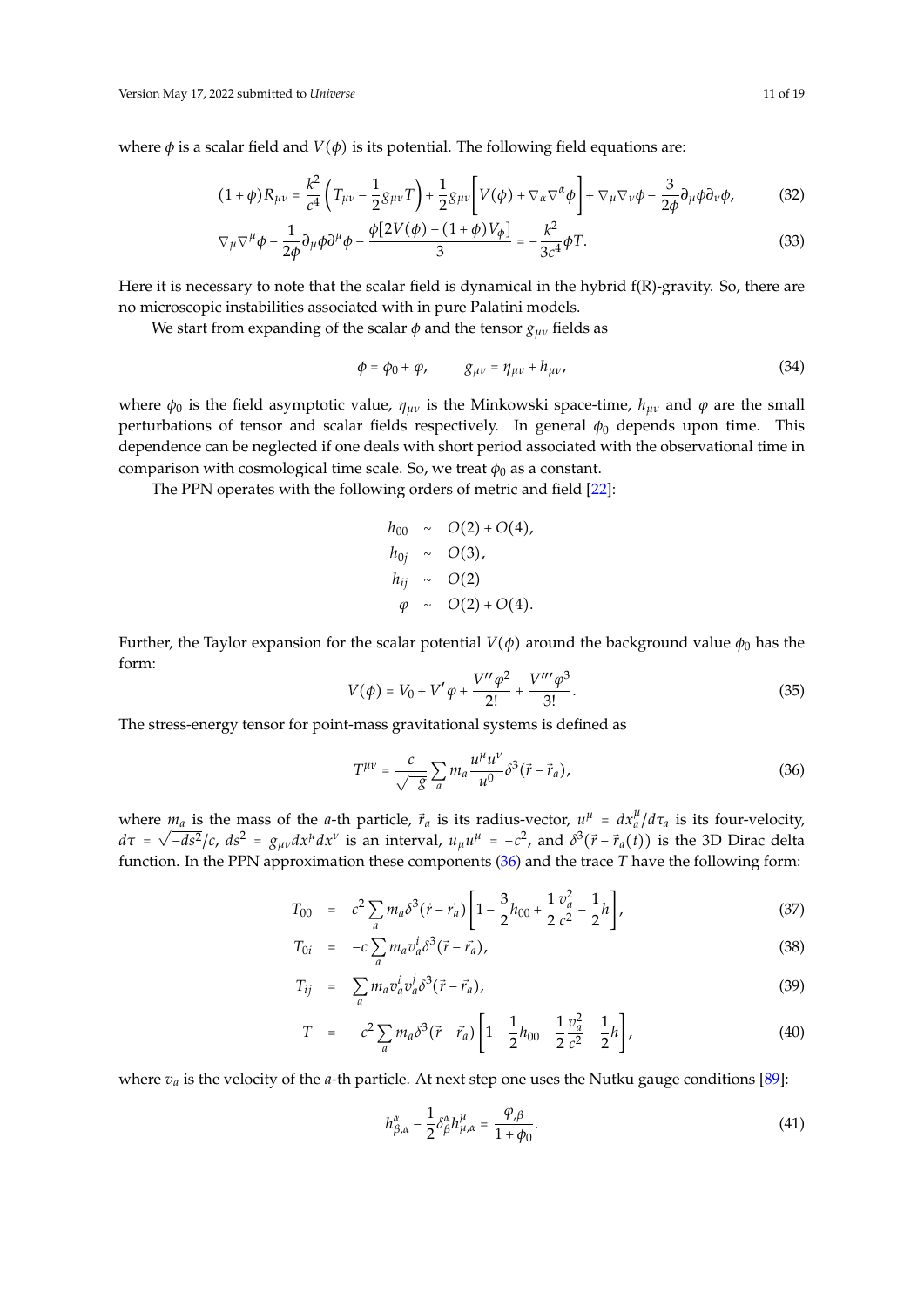where  $\phi$  is a scalar field and  $V(\phi)$  is its potential. The following field equations are:

$$
(1+\phi)R_{\mu\nu} = \frac{k^2}{c^4} \left( T_{\mu\nu} - \frac{1}{2} g_{\mu\nu} T \right) + \frac{1}{2} g_{\mu\nu} \left[ V(\phi) + \nabla_\alpha \nabla^\alpha \phi \right] + \nabla_\mu \nabla_\nu \phi - \frac{3}{2\phi} \partial_\mu \phi \partial_\nu \phi, \tag{32}
$$

$$
\nabla_{\mu}\nabla^{\mu}\phi - \frac{1}{2\phi}\partial_{\mu}\phi\partial^{\mu}\phi - \frac{\phi[2V(\phi) - (1+\phi)V_{\phi}]}{3} = -\frac{k^2}{3c^4}\phi T.
$$
 (33)

Here it is necessary to note that the scalar field is dynamical in the hybrid f(R)-gravity. So, there are no microscopic instabilities associated with in pure Palatini models.

We start from expanding of the scalar  $\phi$  and the tensor  $g_{\mu\nu}$  fields as

$$
\phi = \phi_0 + \varphi, \qquad g_{\mu\nu} = \eta_{\mu\nu} + h_{\mu\nu}, \tag{34}
$$

where  $\phi_0$  is the field asymptotic value,  $\eta_{\mu\nu}$  is the Minkowski space-time,  $h_{\mu\nu}$  and  $\varphi$  are the small perturbations of tensor and scalar fields respectively. In general  $\phi_0$  depends upon time. This dependence can be neglected if one deals with short period associated with the observational time in comparison with cosmological time scale. So, we treat  $\phi_0$  as a constant.

The PPN operates with the following orders of metric and field [\[22\]](#page-15-9):

$$
h_{00} \sim O(2) + O(4), \nh_{0j} \sim O(3), \nh_{ij} \sim O(2) \varphi \sim O(2) + O(4).
$$

Further, the Taylor expansion for the scalar potential  $V(\phi)$  around the background value  $\phi_0$  has the form:

$$
V(\phi) = V_0 + V'\varphi + \frac{V''\varphi^2}{2!} + \frac{V'''\varphi^3}{3!}.
$$
 (35)

The stress-energy tensor for point-mass gravitational systems is defined as

<span id="page-10-0"></span>
$$
T^{\mu\nu} = \frac{c}{\sqrt{-g}} \sum_{a} m_a \frac{u^{\mu} u^{\nu}}{u^0} \delta^3(\vec{r} - \vec{r}_a), \tag{36}
$$

where  $m_a$  is the mass of the *a*-th particle,  $\vec{r}_a$  is its radius-vector,  $u^{\mu} = dx^{\mu}_a/d\tau_a$  is its four-velocity,  $d\tau = \sqrt{-ds^2/c}$ ,  $ds^2 = g_{\mu\nu}dx^{\mu}dx^{\nu}$  is an interval,  $u_{\mu}u^{\mu} = -c^2$ , and  $\delta^3(\vec{r} - \vec{r}_a(t))$  is the 3D Dirac delta function. In the PPN approximation these components [\(36\)](#page-10-0) and the trace *T* have the following form:

$$
T_{00} = c^2 \sum_{a} m_a \delta^3 (\vec{r} - \vec{r}_a) \left[ 1 - \frac{3}{2} h_{00} + \frac{1}{2} \frac{v_a^2}{c^2} - \frac{1}{2} h \right],
$$
 (37)

$$
T_{0i} = -c \sum_{a} m_a v_a^i \delta^3 (\vec{r} - \vec{r}_a), \qquad (38)
$$

$$
T_{ij} = \sum_{a} m_a v_a^i v_a^j \delta^3 (\vec{r} - \vec{r}_a), \qquad (39)
$$

$$
T = -c^2 \sum_{a} m_a \delta^3 (\vec{r} - \vec{r}_a) \left[ 1 - \frac{1}{2} h_{00} - \frac{1}{2} \frac{v_a^2}{c^2} - \frac{1}{2} h \right],
$$
(40)

where  $v_a$  is the velocity of the *a*-th particle. At next step one uses the Nutku gauge conditions [\[89\]](#page-17-24):

$$
h_{\beta,\alpha}^{\alpha} - \frac{1}{2} \delta_{\beta}^{\alpha} h_{\mu,\alpha}^{\mu} = \frac{\varphi_{,\beta}}{1 + \varphi_0}.
$$
 (41)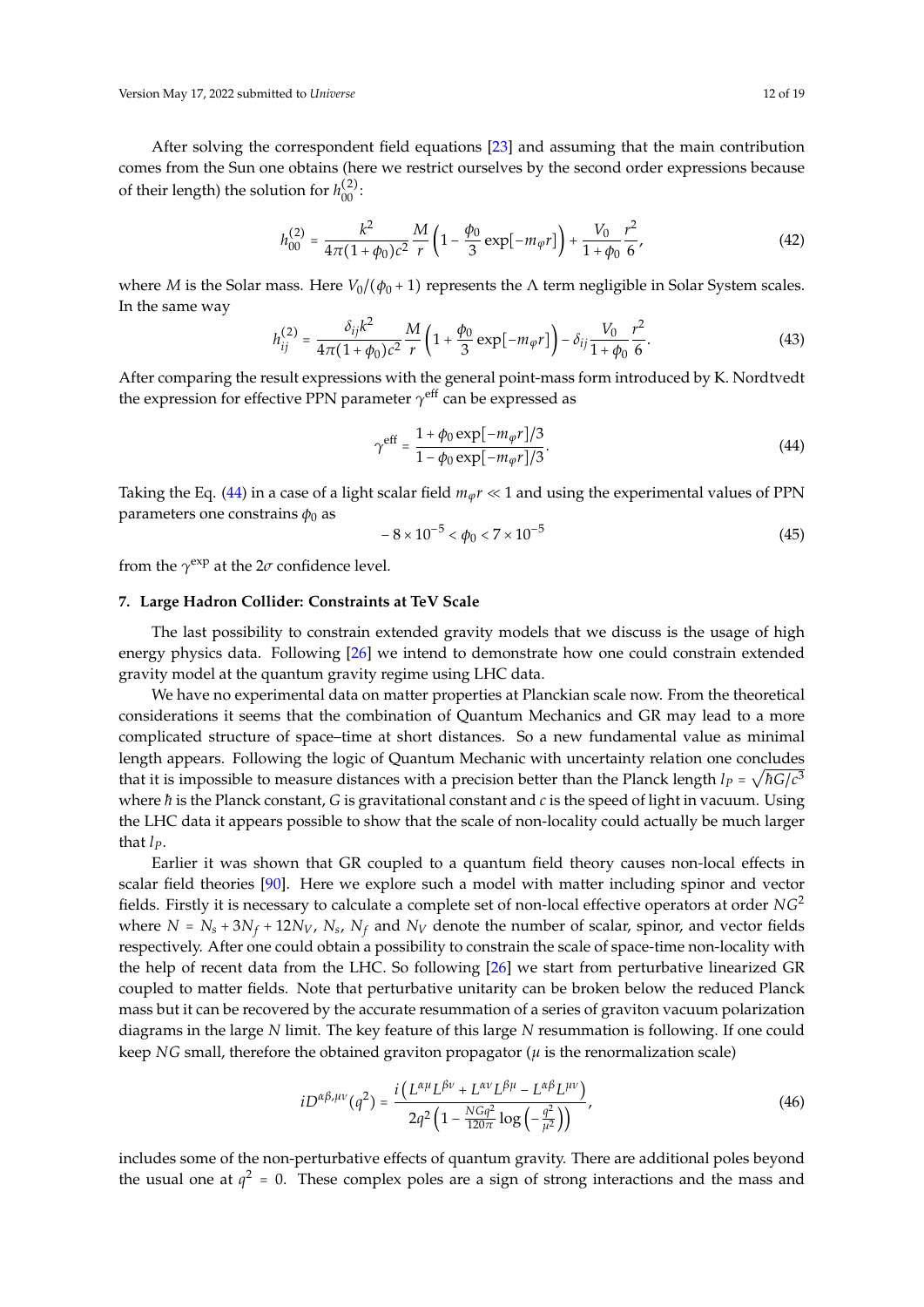Version May 17, 2022 submitted to *Universe* 12 of 19

After solving the correspondent field equations [\[23\]](#page-15-10) and assuming that the main contribution comes from the Sun one obtains (here we restrict ourselves by the second order expressions because of their length) the solution for  $h_{00}^{(2)}$ :

$$
h_{00}^{(2)} = \frac{k^2}{4\pi (1 + \phi_0)c^2} \frac{M}{r} \left(1 - \frac{\phi_0}{3} \exp[-m_\varphi r]\right) + \frac{V_0}{1 + \phi_0} \frac{r^2}{6},\tag{42}
$$

where *M* is the Solar mass. Here  $V_0/(\phi_0 + 1)$  represents the  $\Lambda$  term negligible in Solar System scales. In the same way

$$
h_{ij}^{(2)} = \frac{\delta_{ij}k^2}{4\pi(1+\phi_0)c^2} \frac{M}{r} \left(1 + \frac{\phi_0}{3} \exp[-m_\varphi r]\right) - \delta_{ij} \frac{V_0}{1+\phi_0} \frac{r^2}{6}.
$$
 (43)

After comparing the result expressions with the general point-mass form introduced by K. Nordtvedt the expression for effective PPN parameter  $\gamma^{\rm eff}$  can be expressed as

<span id="page-11-1"></span>
$$
\gamma^{\rm eff} = \frac{1 + \phi_0 \exp[-m_{\varphi}r]/3}{1 - \phi_0 \exp[-m_{\varphi}r]/3}.
$$
\n(44)

Taking the Eq. [\(44\)](#page-11-1) in a case of a light scalar field  $m_\phi r \ll 1$  and using the experimental values of PPN parameters one constrains  $\phi_0$  as

$$
-8 \times 10^{-5} < \phi_0 < 7 \times 10^{-5} \tag{45}
$$

from the  $\gamma^{\rm exp}$  at the 2 $\sigma$  confidence level.

## <span id="page-11-0"></span>**7. Large Hadron Collider: Constraints at TeV Scale**

The last possibility to constrain extended gravity models that we discuss is the usage of high energy physics data. Following [\[26\]](#page-15-13) we intend to demonstrate how one could constrain extended gravity model at the quantum gravity regime using LHC data.

We have no experimental data on matter properties at Planckian scale now. From the theoretical considerations it seems that the combination of Quantum Mechanics and GR may lead to a more complicated structure of space–time at short distances. So a new fundamental value as minimal length appears. Following the logic of Quantum Mechanic with uncertainty relation one concludes that it is impossible to measure distances with a precision better than the Planck length  $l_p = \sqrt{\hbar G/c^3}$ where *h* is the Planck constant, *G* is gravitational constant and *c* is the speed of light in vacuum. Using the LHC data it appears possible to show that the scale of non-locality could actually be much larger that *lP*.

Earlier it was shown that GR coupled to a quantum field theory causes non-local effects in scalar field theories [\[90\]](#page-17-25). Here we explore such a model with matter including spinor and vector fields. Firstly it is necessary to calculate a complete set of non-local effective operators at order *NG*<sup>2</sup> where  $N = N_s + 3N_f + 12N_V$ ,  $N_s$ ,  $N_f$  and  $N_V$  denote the number of scalar, spinor, and vector fields respectively. After one could obtain a possibility to constrain the scale of space-time non-locality with the help of recent data from the LHC. So following [\[26\]](#page-15-13) we start from perturbative linearized GR coupled to matter fields. Note that perturbative unitarity can be broken below the reduced Planck mass but it can be recovered by the accurate resummation of a series of graviton vacuum polarization diagrams in the large *N* limit. The key feature of this large *N* resummation is following. If one could keep *NG* small, therefore the obtained graviton propagator ( $\mu$  is the renormalization scale)

<span id="page-11-2"></span>
$$
iD^{\alpha\beta,\mu\nu}(q^2) = \frac{i(L^{\alpha\mu}L^{\beta\nu} + L^{\alpha\nu}L^{\beta\mu} - L^{\alpha\beta}L^{\mu\nu})}{2q^2\left(1 - \frac{NGq^2}{120\pi}\log\left(-\frac{q^2}{\mu^2}\right)\right)},
$$
(46)

includes some of the non-perturbative effects of quantum gravity. There are additional poles beyond the usual one at  $q^2 = 0$ . These complex poles are a sign of strong interactions and the mass and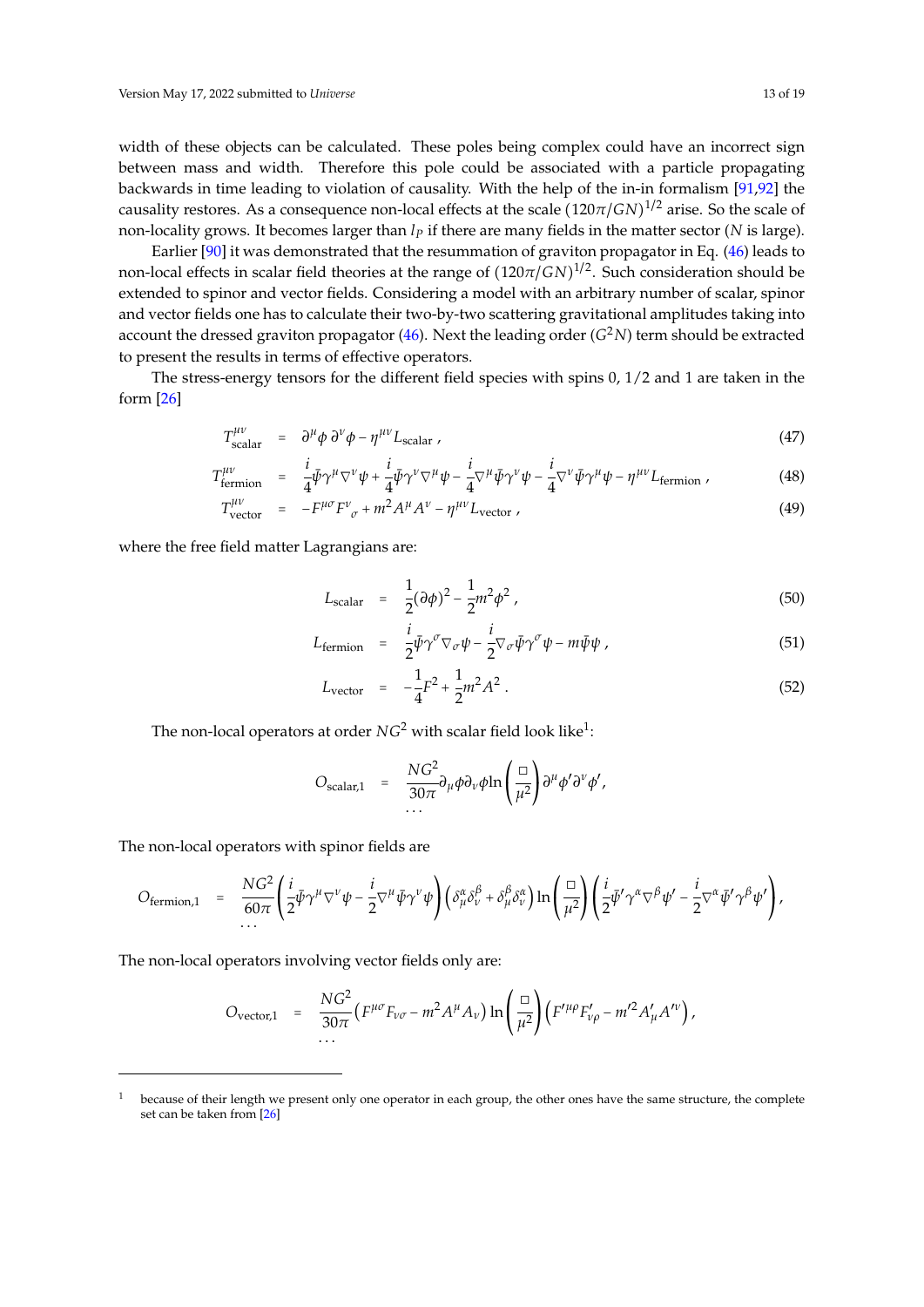width of these objects can be calculated. These poles being complex could have an incorrect sign between mass and width. Therefore this pole could be associated with a particle propagating backwards in time leading to violation of causality. With the help of the in-in formalism [\[91,](#page-17-26)[92\]](#page-17-27) the causality restores. As a consequence non-local effects at the scale  $(120\pi/GN)^{1/2}$  arise. So the scale of non-locality grows. It becomes larger than *l<sup>P</sup>* if there are many fields in the matter sector (*N* is large).

Earlier [\[90\]](#page-17-25) it was demonstrated that the resummation of graviton propagator in Eq. [\(46\)](#page-11-2) leads to non-local effects in scalar field theories at the range of  $(120\pi/GN)^{1/2}$ . Such consideration should be extended to spinor and vector fields. Considering a model with an arbitrary number of scalar, spinor and vector fields one has to calculate their two-by-two scattering gravitational amplitudes taking into account the dressed graviton propagator [\(46\)](#page-11-2). Next the leading order (*G* <sup>2</sup>*N*) term should be extracted to present the results in terms of effective operators.

The stress-energy tensors for the different field species with spins 0, 1/2 and 1 are taken in the form [\[26\]](#page-15-13)

$$
T^{\mu\nu}_{\text{scalar}} = \partial^{\mu} \phi \, \partial^{\nu} \phi - \eta^{\mu\nu} L_{\text{scalar}} \,, \tag{47}
$$

$$
T^{\mu\nu}_{\text{fermion}} = \frac{i}{4} \bar{\psi} \gamma^{\mu} \nabla^{\nu} \psi + \frac{i}{4} \bar{\psi} \gamma^{\nu} \nabla^{\mu} \psi - \frac{i}{4} \nabla^{\mu} \bar{\psi} \gamma^{\nu} \psi - \frac{i}{4} \nabla^{\nu} \bar{\psi} \gamma^{\mu} \psi - \eta^{\mu\nu} L_{\text{fermion}} \,, \tag{48}
$$

$$
T_{\text{vector}}^{\mu\nu} = -F^{\mu\sigma}F_{\sigma}^{\nu} + m^2A^{\mu}A^{\nu} - \eta^{\mu\nu}L_{\text{vector}}\,,\tag{49}
$$

where the free field matter Lagrangians are:

$$
L_{\text{scalar}} = \frac{1}{2} (\partial \phi)^2 - \frac{1}{2} m^2 \phi^2 , \qquad (50)
$$

$$
L_{\text{fermion}} = \frac{i}{2} \bar{\psi} \gamma^{\sigma} \nabla_{\sigma} \psi - \frac{i}{2} \nabla_{\sigma} \bar{\psi} \gamma^{\sigma} \psi - m \bar{\psi} \psi , \qquad (51)
$$

$$
L_{\text{vector}} = -\frac{1}{4}F^2 + \frac{1}{2}m^2A^2 \,. \tag{52}
$$

The non-local operators at order  $NG^2$  with scalar field look like $^1$ :

$$
O_{\text{scalar},1} = \frac{NG^2}{30\pi} \partial_\mu \phi \partial_\nu \phi \ln \left( \frac{\Box}{\mu^2} \right) \partial^\mu \phi' \partial^\nu \phi',
$$

The non-local operators with spinor fields are

$$
O_{\text{fermion},1} = \frac{NG^2}{60\pi} \left( \frac{i}{2} \bar{\psi} \gamma^{\mu} \nabla^{\nu} \psi - \frac{i}{2} \nabla^{\mu} \bar{\psi} \gamma^{\nu} \psi \right) \left( \delta^{\alpha}_{\mu} \delta^{\beta}_{\nu} + \delta^{\beta}_{\mu} \delta^{\alpha}_{\nu} \right) \ln \left( \frac{\Box}{\mu^2} \right) \left( \frac{i}{2} \bar{\psi}' \gamma^{\alpha} \nabla^{\beta} \psi' - \frac{i}{2} \nabla^{\alpha} \bar{\psi}' \gamma^{\beta} \psi' \right),
$$

The non-local operators involving vector fields only are:

$$
O_{\text{vector},1} = \frac{NG^2}{30\pi} \left( F^{\mu\sigma} F_{\nu\sigma} - m^2 A^{\mu} A_{\nu} \right) \ln \left( \frac{\Box}{\mu^2} \right) \left( F^{\prime\mu\rho} F^{\prime}_{\nu\rho} - m^{\prime 2} A^{\prime}_{\mu} A^{\prime\nu} \right),
$$

 $1$  because of their length we present only one operator in each group, the other ones have the same structure, the complete set can be taken from [\[26\]](#page-15-13)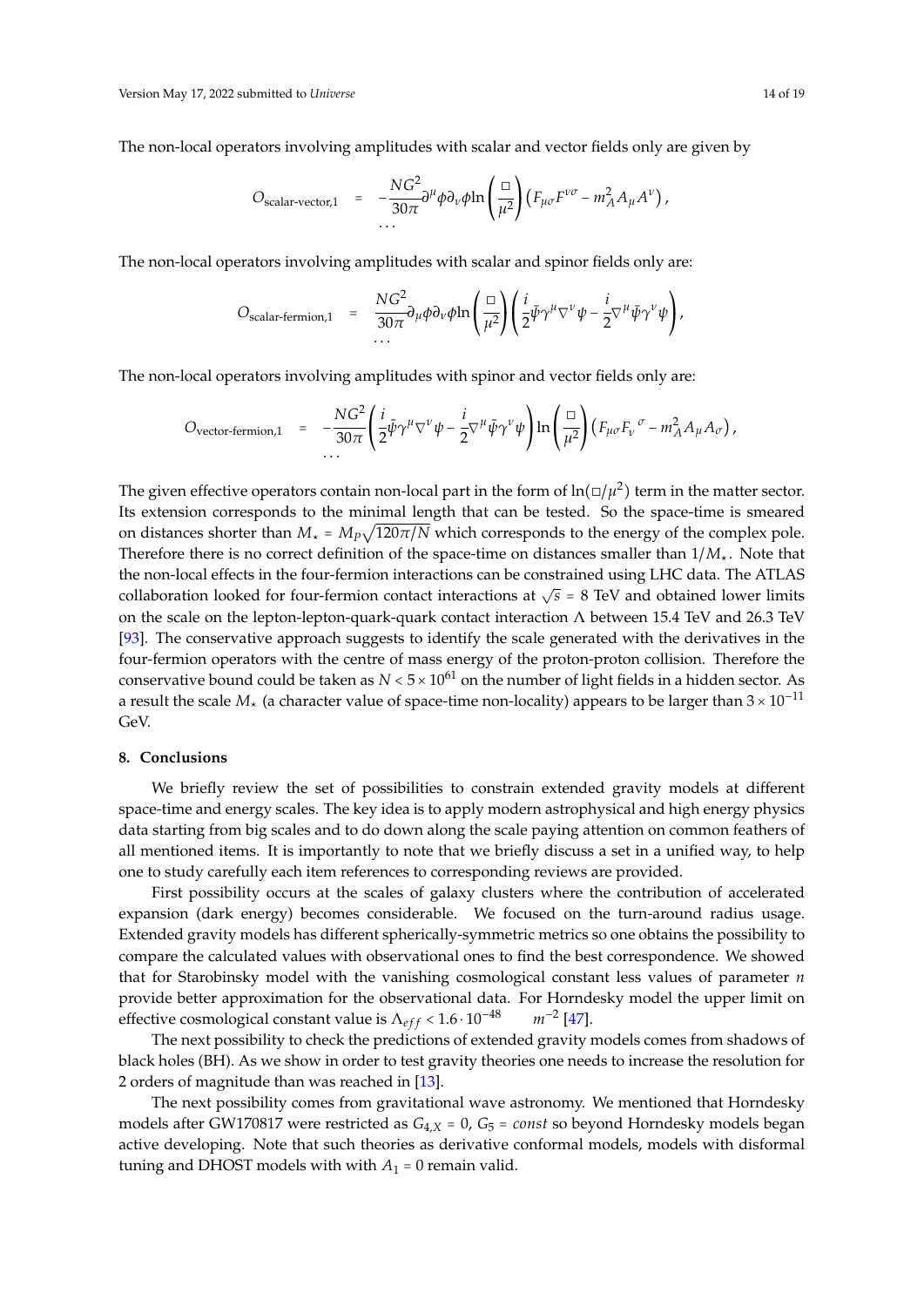The non-local operators involving amplitudes with scalar and vector fields only are given by

$$
O_{\text{scalar-vector},1} = -\frac{NG^2}{30\pi} \partial^{\mu} \phi \partial_{\nu} \phi \ln \left( \frac{\Box}{\mu^2} \right) \left( F_{\mu\sigma} F^{\nu\sigma} - m_A^2 A_{\mu} A^{\nu} \right),
$$

The non-local operators involving amplitudes with scalar and spinor fields only are:

$$
O_{\text{scalar-fermion,1}} = \frac{NG^2}{30\pi} \partial_\mu \phi \partial_\nu \phi \ln \left( \frac{\Box}{\mu^2} \right) \left( \frac{i}{2} \bar{\psi} \gamma^\mu \nabla^\nu \psi - \frac{i}{2} \nabla^\mu \bar{\psi} \gamma^\nu \psi \right),
$$

The non-local operators involving amplitudes with spinor and vector fields only are:

$$
O_{\text{vector-fermion},1} = -\frac{NG^2}{30\pi} \left( \frac{i}{2} \bar{\psi} \gamma^{\mu} \nabla^{\nu} \psi - \frac{i}{2} \nabla^{\mu} \bar{\psi} \gamma^{\nu} \psi \right) \ln \left( \frac{\Box}{\mu^2} \right) \left( F_{\mu\sigma} F_{\nu}^{\ \sigma} - m_A^2 A_{\mu} A_{\sigma} \right),
$$

The given effective operators contain non-local part in the form of  $\ln(\Box/\mu^2)$  term in the matter sector. Its extension corresponds to the minimal length that can be tested. So the space-time is smeared on distances shorter than  $M_{\star} = M_P \sqrt{120 \pi/N}$  which corresponds to the energy of the complex pole. Therefore there is no correct definition of the space-time on distances smaller than  $1/M_{\star}$ . Note that the non-local effects in the four-fermion interactions can be constrained using LHC data. The ATLAS collaboration looked for four-fermion contact interactions at  $\sqrt{s}$  = 8 TeV and obtained lower limits on the scale on the lepton-lepton-quark-quark contact interaction Λ between 15.4 TeV and 26.3 TeV [\[93\]](#page-18-0). The conservative approach suggests to identify the scale generated with the derivatives in the four-fermion operators with the centre of mass energy of the proton-proton collision. Therefore the conservative bound could be taken as  $N < 5 \times 10^{61}$  on the number of light fields in a hidden sector. As a result the scale  $M_{\star}$  (a character value of space-time non-locality) appears to be larger than  $3 \times 10^{-11}$ GeV.

## <span id="page-13-0"></span>**8. Conclusions**

We briefly review the set of possibilities to constrain extended gravity models at different space-time and energy scales. The key idea is to apply modern astrophysical and high energy physics data starting from big scales and to do down along the scale paying attention on common feathers of all mentioned items. It is importantly to note that we briefly discuss a set in a unified way, to help one to study carefully each item references to corresponding reviews are provided.

First possibility occurs at the scales of galaxy clusters where the contribution of accelerated expansion (dark energy) becomes considerable. We focused on the turn-around radius usage. Extended gravity models has different spherically-symmetric metrics so one obtains the possibility to compare the calculated values with observational ones to find the best correspondence. We showed that for Starobinsky model with the vanishing cosmological constant less values of parameter *n* provide better approximation for the observational data. For Horndesky model the upper limit on effective cosmological constant value is  $\Lambda_{eff}$  <  $1.6 \cdot 10^{-48}$  $m^{-2}$  [\[47\]](#page-16-3).

The next possibility to check the predictions of extended gravity models comes from shadows of black holes (BH). As we show in order to test gravity theories one needs to increase the resolution for 2 orders of magnitude than was reached in [\[13\]](#page-15-0).

The next possibility comes from gravitational wave astronomy. We mentioned that Horndesky models after GW170817 were restricted as *<sup>G</sup>*4,*<sup>X</sup>* <sup>=</sup> 0, *<sup>G</sup>*<sup>5</sup> <sup>=</sup> *const* so beyond Horndesky models began active developing. Note that such theories as derivative conformal models, models with disformal tuning and DHOST models with with  $A_1 = 0$  remain valid.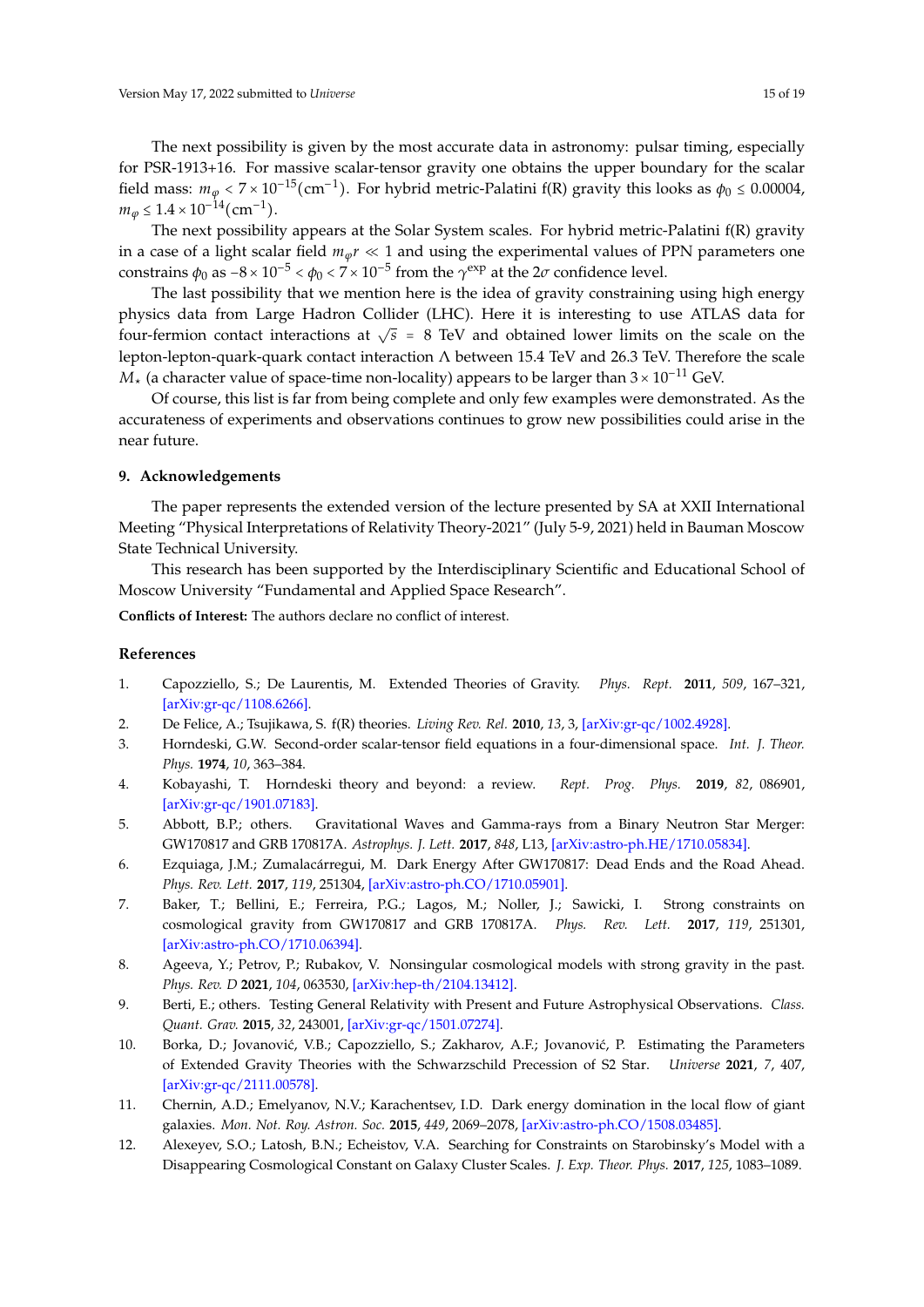The next possibility is given by the most accurate data in astronomy: pulsar timing, especially for PSR-1913+16. For massive scalar-tensor gravity one obtains the upper boundary for the scalar field mass:  $m_\varphi < 7 \times 10^{-15}$  (cm<sup>-1</sup>). For hybrid metric-Palatini f(R) gravity this looks as  $\phi_0 \le 0.00004$ ,  $m_{\varphi} \leq 1.4 \times 10^{-14}$  (cm<sup>-1</sup>).

The next possibility appears at the Solar System scales. For hybrid metric-Palatini f(R) gravity in a case of a light scalar field  $m_\phi r \ll 1$  and using the experimental values of PPN parameters one constrains  $\phi_0$  as  $-8 \times 10^{-5} < \phi_0 < 7 \times 10^{-5}$  from the  $\gamma^{\text{exp}}$  at the 2*σ* confidence level.

The last possibility that we mention here is the idea of gravity constraining using high energy physics data from Large Hadron Collider (LHC). Here it is interesting to use ATLAS data for four-fermion contact interactions at  $\sqrt{s}$  = 8 TeV and obtained lower limits on the scale on the lepton-lepton-quark-quark contact interaction  $\Lambda$  between 15.4 TeV and 26.3 TeV. Therefore the scale  $M_{\star}$  (a character value of space-time non-locality) appears to be larger than  $3 \times 10^{-11}$  GeV.

Of course, this list is far from being complete and only few examples were demonstrated. As the accurateness of experiments and observations continues to grow new possibilities could arise in the near future.

## <span id="page-14-0"></span>**9. Acknowledgements**

The paper represents the extended version of the lecture presented by SA at XXII International Meeting "Physical Interpretations of Relativity Theory-2021" (July 5-9, 2021) held in Bauman Moscow State Technical University.

This research has been supported by the Interdisciplinary Scientific and Educational School of Moscow University "Fundamental and Applied Space Research".

**Conflicts of Interest:** The authors declare no conflict of interest.

# **References**

- <span id="page-14-1"></span>1. Capozziello, S.; De Laurentis, M. Extended Theories of Gravity. *Phys. Rept.* **2011**, *509*, 167–321, [\[arXiv:gr-qc/1108.6266\].](http://xxx.lanl.gov/abs/1108.6266)
- <span id="page-14-2"></span>2. De Felice, A.; Tsujikawa, S. f(R) theories. *Living Rev. Rel.* **2010**, *13*, 3, [\[arXiv:gr-qc/1002.4928\].](http://xxx.lanl.gov/abs/1002.4928)
- <span id="page-14-3"></span>3. Horndeski, G.W. Second-order scalar-tensor field equations in a four-dimensional space. *Int. J. Theor. Phys.* **1974**, *10*, 363–384.
- <span id="page-14-4"></span>4. Kobayashi, T. Horndeski theory and beyond: a review. *Rept. Prog. Phys.* **2019**, *82*, 086901, [\[arXiv:gr-qc/1901.07183\].](http://xxx.lanl.gov/abs/1901.07183)
- <span id="page-14-5"></span>5. Abbott, B.P.; others. Gravitational Waves and Gamma-rays from a Binary Neutron Star Merger: GW170817 and GRB 170817A. *Astrophys. J. Lett.* **2017**, *848*, L13, [\[arXiv:astro-ph.HE/1710.05834\].](http://xxx.lanl.gov/abs/1710.05834)
- <span id="page-14-6"></span>6. Ezquiaga, J.M.; Zumalacárregui, M. Dark Energy After GW170817: Dead Ends and the Road Ahead. *Phys. Rev. Lett.* **2017**, *119*, 251304, [\[arXiv:astro-ph.CO/1710.05901\].](http://xxx.lanl.gov/abs/1710.05901)
- <span id="page-14-7"></span>7. Baker, T.; Bellini, E.; Ferreira, P.G.; Lagos, M.; Noller, J.; Sawicki, I. Strong constraints on cosmological gravity from GW170817 and GRB 170817A. *Phys. Rev. Lett.* **2017**, *119*, 251301, [\[arXiv:astro-ph.CO/1710.06394\].](http://xxx.lanl.gov/abs/1710.06394)
- <span id="page-14-8"></span>8. Ageeva, Y.; Petrov, P.; Rubakov, V. Nonsingular cosmological models with strong gravity in the past. *Phys. Rev. D* **2021**, *104*, 063530, [\[arXiv:hep-th/2104.13412\].](http://xxx.lanl.gov/abs/2104.13412)
- <span id="page-14-9"></span>9. Berti, E.; others. Testing General Relativity with Present and Future Astrophysical Observations. *Class. Quant. Grav.* **2015**, *32*, 243001, [\[arXiv:gr-qc/1501.07274\].](http://xxx.lanl.gov/abs/1501.07274)
- <span id="page-14-10"></span>10. Borka, D.; Jovanović, V.B.; Capozziello, S.; Zakharov, A.F.; Jovanović, P. Estimating the Parameters of Extended Gravity Theories with the Schwarzschild Precession of S2 Star. *Universe* **2021**, *7*, 407, [\[arXiv:gr-qc/2111.00578\].](http://xxx.lanl.gov/abs/2111.00578)
- <span id="page-14-11"></span>11. Chernin, A.D.; Emelyanov, N.V.; Karachentsev, I.D. Dark energy domination in the local flow of giant galaxies. *Mon. Not. Roy. Astron. Soc.* **2015**, *449*, 2069–2078, [\[arXiv:astro-ph.CO/1508.03485\].](http://xxx.lanl.gov/abs/1508.03485)
- <span id="page-14-12"></span>12. Alexeyev, S.O.; Latosh, B.N.; Echeistov, V.A. Searching for Constraints on Starobinsky's Model with a Disappearing Cosmological Constant on Galaxy Cluster Scales. *J. Exp. Theor. Phys.* **2017**, *125*, 1083–1089.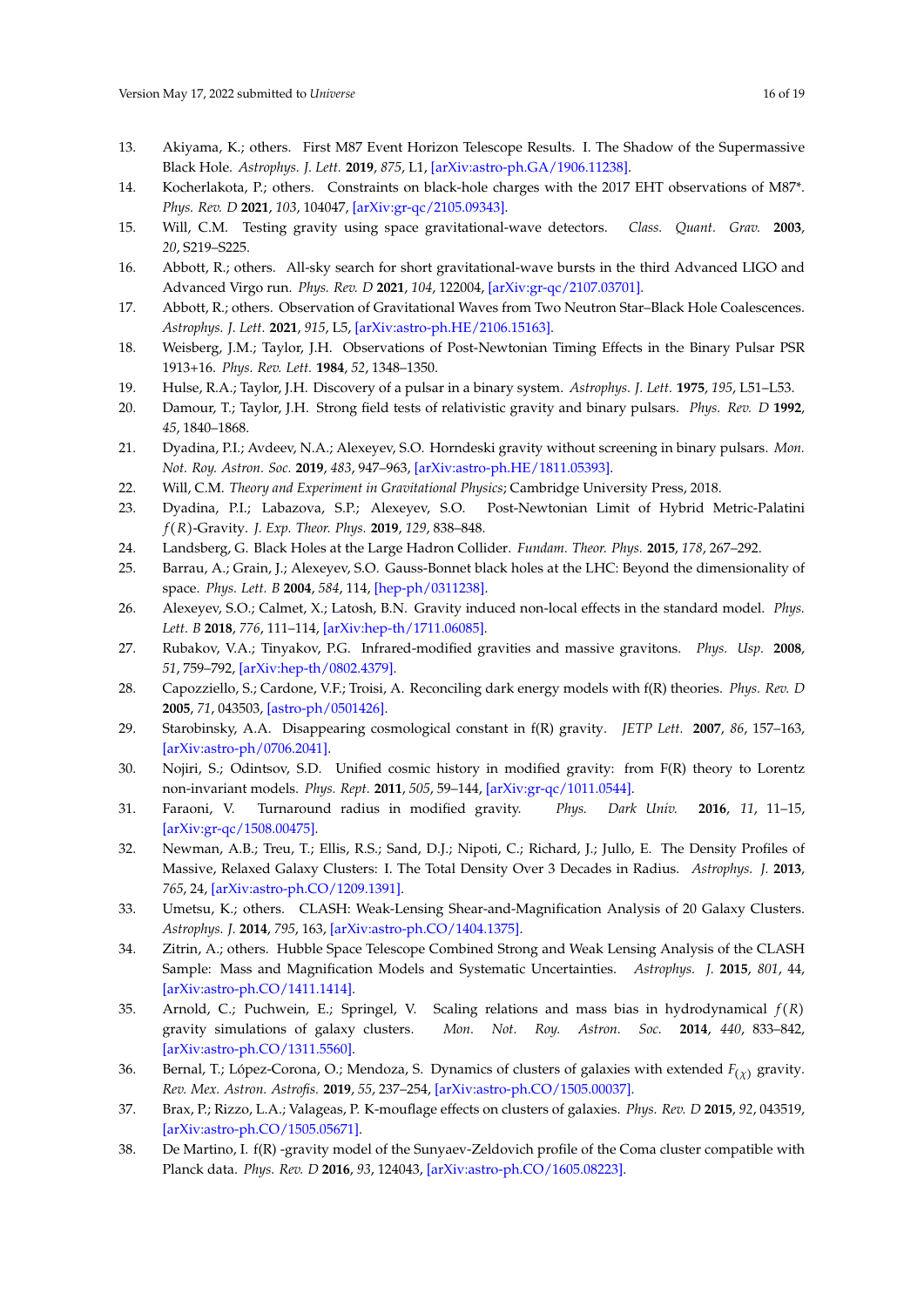- <span id="page-15-0"></span>13. Akiyama, K.; others. First M87 Event Horizon Telescope Results. I. The Shadow of the Supermassive Black Hole. *Astrophys. J. Lett.* **2019**, *875*, L1, [\[arXiv:astro-ph.GA/1906.11238\].](http://xxx.lanl.gov/abs/1906.11238)
- <span id="page-15-1"></span>14. Kocherlakota, P.; others. Constraints on black-hole charges with the 2017 EHT observations of M87\*. *Phys. Rev. D* **2021**, *103*, 104047, [\[arXiv:gr-qc/2105.09343\].](http://xxx.lanl.gov/abs/2105.09343)
- <span id="page-15-2"></span>15. Will, C.M. Testing gravity using space gravitational-wave detectors. *Class. Quant. Grav.* **2003**, *20*, S219–S225.
- <span id="page-15-3"></span>16. Abbott, R.; others. All-sky search for short gravitational-wave bursts in the third Advanced LIGO and Advanced Virgo run. *Phys. Rev. D* **2021**, *104*, 122004, [\[arXiv:gr-qc/2107.03701\].](http://xxx.lanl.gov/abs/2107.03701)
- <span id="page-15-4"></span>17. Abbott, R.; others. Observation of Gravitational Waves from Two Neutron Star–Black Hole Coalescences. *Astrophys. J. Lett.* **2021**, *915*, L5, [\[arXiv:astro-ph.HE/2106.15163\].](http://xxx.lanl.gov/abs/2106.15163)
- <span id="page-15-5"></span>18. Weisberg, J.M.; Taylor, J.H. Observations of Post-Newtonian Timing Effects in the Binary Pulsar PSR 1913+16. *Phys. Rev. Lett.* **1984**, *52*, 1348–1350.
- <span id="page-15-6"></span>19. Hulse, R.A.; Taylor, J.H. Discovery of a pulsar in a binary system. *Astrophys. J. Lett.* **1975**, *195*, L51–L53.
- <span id="page-15-7"></span>20. Damour, T.; Taylor, J.H. Strong field tests of relativistic gravity and binary pulsars. *Phys. Rev. D* **1992**, *45*, 1840–1868.
- <span id="page-15-8"></span>21. Dyadina, P.I.; Avdeev, N.A.; Alexeyev, S.O. Horndeski gravity without screening in binary pulsars. *Mon. Not. Roy. Astron. Soc.* **2019**, *483*, 947–963, [\[arXiv:astro-ph.HE/1811.05393\].](http://xxx.lanl.gov/abs/1811.05393)
- <span id="page-15-9"></span>22. Will, C.M. *Theory and Experiment in Gravitational Physics*; Cambridge University Press, 2018.
- <span id="page-15-10"></span>23. Dyadina, P.I.; Labazova, S.P.; Alexeyev, S.O. Post-Newtonian Limit of Hybrid Metric-Palatini *f* (*R*)-Gravity. *J. Exp. Theor. Phys.* **2019**, *129*, 838–848.
- <span id="page-15-11"></span>24. Landsberg, G. Black Holes at the Large Hadron Collider. *Fundam. Theor. Phys.* **2015**, *178*, 267–292.
- <span id="page-15-12"></span>25. Barrau, A.; Grain, J.; Alexeyev, S.O. Gauss-Bonnet black holes at the LHC: Beyond the dimensionality of space. *Phys. Lett. B* **2004**, *584*, 114, [\[hep-ph/0311238\].](http://xxx.lanl.gov/abs/hep-ph/0311238)
- <span id="page-15-13"></span>26. Alexeyev, S.O.; Calmet, X.; Latosh, B.N. Gravity induced non-local effects in the standard model. *Phys. Lett. B* **2018**, *776*, 111–114, [\[arXiv:hep-th/1711.06085\].](http://xxx.lanl.gov/abs/1711.06085)
- <span id="page-15-14"></span>27. Rubakov, V.A.; Tinyakov, P.G. Infrared-modified gravities and massive gravitons. *Phys. Usp.* **2008**, *51*, 759–792, [\[arXiv:hep-th/0802.4379\].](http://xxx.lanl.gov/abs/0802.4379)
- <span id="page-15-15"></span>28. Capozziello, S.; Cardone, V.F.; Troisi, A. Reconciling dark energy models with f(R) theories. *Phys. Rev. D* **2005**, *71*, 043503, [\[astro-ph/0501426\].](http://xxx.lanl.gov/abs/astro-ph/0501426)
- <span id="page-15-16"></span>29. Starobinsky, A.A. Disappearing cosmological constant in f(R) gravity. *JETP Lett.* **2007**, *86*, 157–163, [\[arXiv:astro-ph/0706.2041\].](http://xxx.lanl.gov/abs/0706.2041)
- <span id="page-15-17"></span>30. Nojiri, S.; Odintsov, S.D. Unified cosmic history in modified gravity: from F(R) theory to Lorentz non-invariant models. *Phys. Rept.* **2011**, *505*, 59–144, [\[arXiv:gr-qc/1011.0544\].](http://xxx.lanl.gov/abs/1011.0544)
- <span id="page-15-18"></span>31. Faraoni, V. Turnaround radius in modified gravity. *Phys. Dark Univ.* **2016**, *11*, 11–15, [\[arXiv:gr-qc/1508.00475\].](http://xxx.lanl.gov/abs/1508.00475)
- <span id="page-15-19"></span>32. Newman, A.B.; Treu, T.; Ellis, R.S.; Sand, D.J.; Nipoti, C.; Richard, J.; Jullo, E. The Density Profiles of Massive, Relaxed Galaxy Clusters: I. The Total Density Over 3 Decades in Radius. *Astrophys. J.* **2013**, *765*, 24, [\[arXiv:astro-ph.CO/1209.1391\].](http://xxx.lanl.gov/abs/1209.1391)
- 33. Umetsu, K.; others. CLASH: Weak-Lensing Shear-and-Magnification Analysis of 20 Galaxy Clusters. *Astrophys. J.* **2014**, *795*, 163, [\[arXiv:astro-ph.CO/1404.1375\].](http://xxx.lanl.gov/abs/1404.1375)
- <span id="page-15-20"></span>34. Zitrin, A.; others. Hubble Space Telescope Combined Strong and Weak Lensing Analysis of the CLASH Sample: Mass and Magnification Models and Systematic Uncertainties. *Astrophys. J.* **2015**, *801*, 44, [\[arXiv:astro-ph.CO/1411.1414\].](http://xxx.lanl.gov/abs/1411.1414)
- <span id="page-15-21"></span>35. Arnold, C.; Puchwein, E.; Springel, V. Scaling relations and mass bias in hydrodynamical *f* (*R*) gravity simulations of galaxy clusters. *Mon. Not. Roy. Astron. Soc.* **2014**, *440*, 833–842, [\[arXiv:astro-ph.CO/1311.5560\].](http://xxx.lanl.gov/abs/1311.5560)
- 36. Bernal, T.; López-Corona, O.; Mendoza, S. Dynamics of clusters of galaxies with extended *F*(*χ*) gravity. *Rev. Mex. Astron. Astrofis.* **2019**, *55*, 237–254, [\[arXiv:astro-ph.CO/1505.00037\].](http://xxx.lanl.gov/abs/1505.00037)
- 37. Brax, P.; Rizzo, L.A.; Valageas, P. K-mouflage effects on clusters of galaxies. *Phys. Rev. D* **2015**, *92*, 043519, [\[arXiv:astro-ph.CO/1505.05671\].](http://xxx.lanl.gov/abs/1505.05671)
- 38. De Martino, I. f(R) -gravity model of the Sunyaev-Zeldovich profile of the Coma cluster compatible with Planck data. *Phys. Rev. D* **2016**, *93*, 124043, [\[arXiv:astro-ph.CO/1605.08223\].](http://xxx.lanl.gov/abs/1605.08223)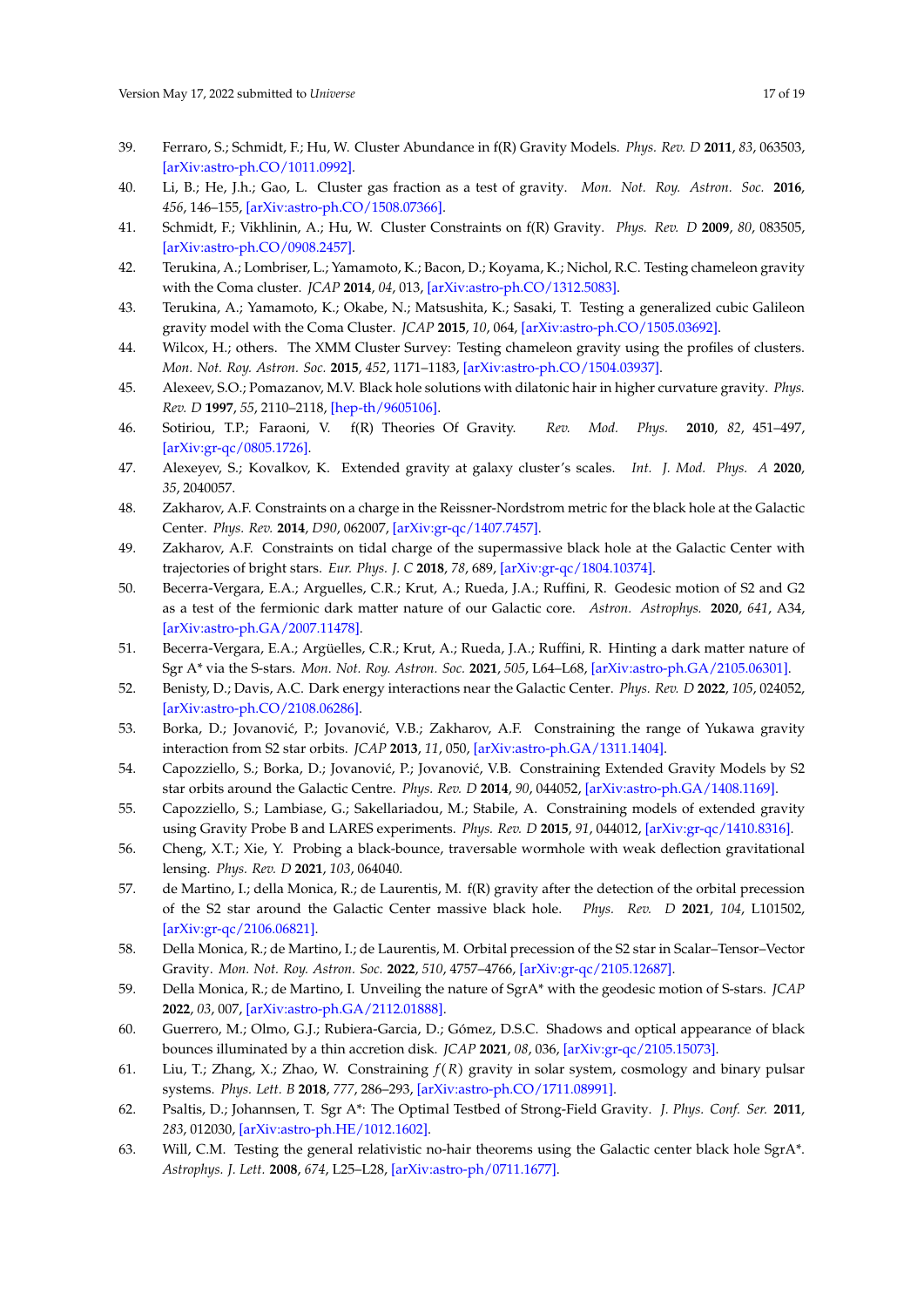- 39. Ferraro, S.; Schmidt, F.; Hu, W. Cluster Abundance in f(R) Gravity Models. *Phys. Rev. D* **2011**, *83*, 063503, [\[arXiv:astro-ph.CO/1011.0992\].](http://xxx.lanl.gov/abs/1011.0992)
- 40. Li, B.; He, J.h.; Gao, L. Cluster gas fraction as a test of gravity. *Mon. Not. Roy. Astron. Soc.* **2016**, *456*, 146–155, [\[arXiv:astro-ph.CO/1508.07366\].](http://xxx.lanl.gov/abs/1508.07366)
- 41. Schmidt, F.; Vikhlinin, A.; Hu, W. Cluster Constraints on f(R) Gravity. *Phys. Rev. D* **2009**, *80*, 083505, [\[arXiv:astro-ph.CO/0908.2457\].](http://xxx.lanl.gov/abs/0908.2457)
- 42. Terukina, A.; Lombriser, L.; Yamamoto, K.; Bacon, D.; Koyama, K.; Nichol, R.C. Testing chameleon gravity with the Coma cluster. *JCAP* **2014**, *04*, 013, [\[arXiv:astro-ph.CO/1312.5083\].](http://xxx.lanl.gov/abs/1312.5083)
- 43. Terukina, A.; Yamamoto, K.; Okabe, N.; Matsushita, K.; Sasaki, T. Testing a generalized cubic Galileon gravity model with the Coma Cluster. *JCAP* **2015**, *10*, 064, [\[arXiv:astro-ph.CO/1505.03692\].](http://xxx.lanl.gov/abs/1505.03692)
- <span id="page-16-0"></span>44. Wilcox, H.; others. The XMM Cluster Survey: Testing chameleon gravity using the profiles of clusters. *Mon. Not. Roy. Astron. Soc.* **2015**, *452*, 1171–1183, [\[arXiv:astro-ph.CO/1504.03937\].](http://xxx.lanl.gov/abs/1504.03937)
- <span id="page-16-1"></span>45. Alexeev, S.O.; Pomazanov, M.V. Black hole solutions with dilatonic hair in higher curvature gravity. *Phys. Rev. D* **1997**, *55*, 2110–2118, [\[hep-th/9605106\].](http://xxx.lanl.gov/abs/hep-th/9605106)
- <span id="page-16-2"></span>46. Sotiriou, T.P.; Faraoni, V. f(R) Theories Of Gravity. *Rev. Mod. Phys.* **2010**, *82*, 451–497, [\[arXiv:gr-qc/0805.1726\].](http://xxx.lanl.gov/abs/0805.1726)
- <span id="page-16-3"></span>47. Alexeyev, S.; Kovalkov, K. Extended gravity at galaxy cluster's scales. *Int. J. Mod. Phys. A* **2020**, *35*, 2040057.
- <span id="page-16-4"></span>48. Zakharov, A.F. Constraints on a charge in the Reissner-Nordstrom metric for the black hole at the Galactic Center. *Phys. Rev.* **2014**, *D90*, 062007, [\[arXiv:gr-qc/1407.7457\].](http://xxx.lanl.gov/abs/1407.7457)
- <span id="page-16-5"></span>49. Zakharov, A.F. Constraints on tidal charge of the supermassive black hole at the Galactic Center with trajectories of bright stars. *Eur. Phys. J. C* **2018**, *78*, 689, [\[arXiv:gr-qc/1804.10374\].](http://xxx.lanl.gov/abs/1804.10374)
- <span id="page-16-6"></span>50. Becerra-Vergara, E.A.; Arguelles, C.R.; Krut, A.; Rueda, J.A.; Ruffini, R. Geodesic motion of S2 and G2 as a test of the fermionic dark matter nature of our Galactic core. *Astron. Astrophys.* **2020**, *641*, A34, [\[arXiv:astro-ph.GA/2007.11478\].](http://xxx.lanl.gov/abs/2007.11478)
- 51. Becerra-Vergara, E.A.; Argüelles, C.R.; Krut, A.; Rueda, J.A.; Ruffini, R. Hinting a dark matter nature of Sgr A\* via the S-stars. *Mon. Not. Roy. Astron. Soc.* **2021**, *505*, L64–L68, [\[arXiv:astro-ph.GA/2105.06301\].](http://xxx.lanl.gov/abs/2105.06301)
- 52. Benisty, D.; Davis, A.C. Dark energy interactions near the Galactic Center. *Phys. Rev. D* **2022**, *105*, 024052, [\[arXiv:astro-ph.CO/2108.06286\].](http://xxx.lanl.gov/abs/2108.06286)
- 53. Borka, D.; Jovanović, P.; Jovanović, V.B.; Zakharov, A.F. Constraining the range of Yukawa gravity interaction from S2 star orbits. *JCAP* **2013**, *11*, 050, [\[arXiv:astro-ph.GA/1311.1404\].](http://xxx.lanl.gov/abs/1311.1404)
- 54. Capozziello, S.; Borka, D.; Jovanović, P.; Jovanović, V.B. Constraining Extended Gravity Models by S2 star orbits around the Galactic Centre. *Phys. Rev. D* **2014**, *90*, 044052, [\[arXiv:astro-ph.GA/1408.1169\].](http://xxx.lanl.gov/abs/1408.1169)
- 55. Capozziello, S.; Lambiase, G.; Sakellariadou, M.; Stabile, A. Constraining models of extended gravity using Gravity Probe B and LARES experiments. *Phys. Rev. D* **2015**, *91*, 044012, [\[arXiv:gr-qc/1410.8316\].](http://xxx.lanl.gov/abs/1410.8316)
- 56. Cheng, X.T.; Xie, Y. Probing a black-bounce, traversable wormhole with weak deflection gravitational lensing. *Phys. Rev. D* **2021**, *103*, 064040.
- 57. de Martino, I.; della Monica, R.; de Laurentis, M. f(R) gravity after the detection of the orbital precession of the S2 star around the Galactic Center massive black hole. *Phys. Rev. D* **2021**, *104*, L101502, [\[arXiv:gr-qc/2106.06821\].](http://xxx.lanl.gov/abs/2106.06821)
- 58. Della Monica, R.; de Martino, I.; de Laurentis, M. Orbital precession of the S2 star in Scalar–Tensor–Vector Gravity. *Mon. Not. Roy. Astron. Soc.* **2022**, *510*, 4757–4766, [\[arXiv:gr-qc/2105.12687\].](http://xxx.lanl.gov/abs/2105.12687)
- 59. Della Monica, R.; de Martino, I. Unveiling the nature of SgrA\* with the geodesic motion of S-stars. *JCAP* **2022**, *03*, 007, [\[arXiv:astro-ph.GA/2112.01888\].](http://xxx.lanl.gov/abs/2112.01888)
- 60. Guerrero, M.; Olmo, G.J.; Rubiera-Garcia, D.; Gómez, D.S.C. Shadows and optical appearance of black bounces illuminated by a thin accretion disk. *JCAP* **2021**, *08*, 036, [\[arXiv:gr-qc/2105.15073\].](http://xxx.lanl.gov/abs/2105.15073)
- 61. Liu, T.; Zhang, X.; Zhao, W. Constraining *f* (*R*) gravity in solar system, cosmology and binary pulsar systems. *Phys. Lett. B* **2018**, *777*, 286–293, [\[arXiv:astro-ph.CO/1711.08991\].](http://xxx.lanl.gov/abs/1711.08991)
- 62. Psaltis, D.; Johannsen, T. Sgr A\*: The Optimal Testbed of Strong-Field Gravity. *J. Phys. Conf. Ser.* **2011**, *283*, 012030, [\[arXiv:astro-ph.HE/1012.1602\].](http://xxx.lanl.gov/abs/1012.1602)
- <span id="page-16-7"></span>63. Will, C.M. Testing the general relativistic no-hair theorems using the Galactic center black hole SgrA\*. *Astrophys. J. Lett.* **2008**, *674*, L25–L28, [\[arXiv:astro-ph/0711.1677\].](http://xxx.lanl.gov/abs/0711.1677)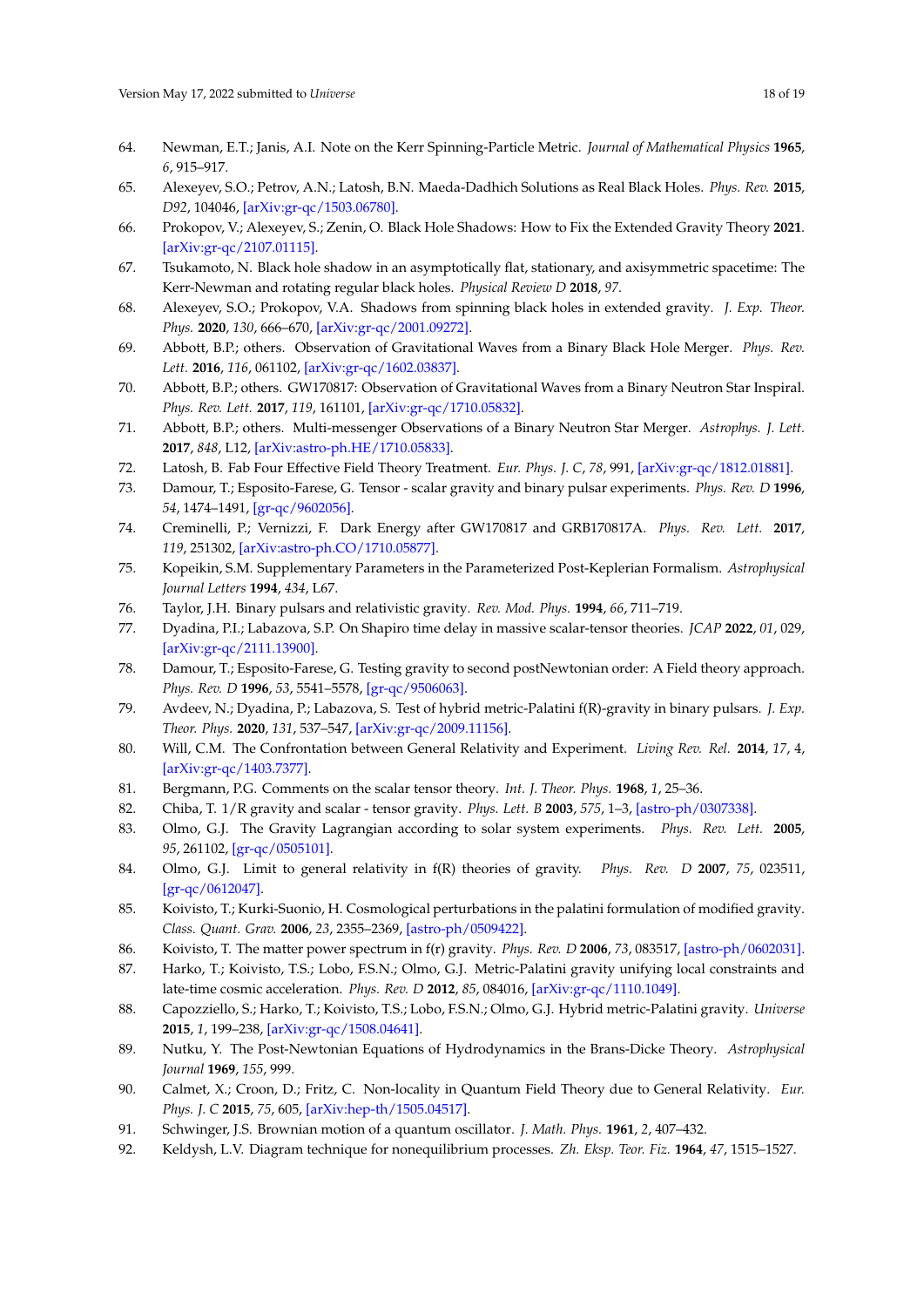- <span id="page-17-0"></span>64. Newman, E.T.; Janis, A.I. Note on the Kerr Spinning-Particle Metric. *Journal of Mathematical Physics* **1965**, *6*, 915–917.
- <span id="page-17-1"></span>65. Alexeyev, S.O.; Petrov, A.N.; Latosh, B.N. Maeda-Dadhich Solutions as Real Black Holes. *Phys. Rev.* **2015**, *D92*, 104046, [\[arXiv:gr-qc/1503.06780\].](http://xxx.lanl.gov/abs/1503.06780)
- <span id="page-17-2"></span>66. Prokopov, V.; Alexeyev, S.; Zenin, O. Black Hole Shadows: How to Fix the Extended Gravity Theory **2021**. [\[arXiv:gr-qc/2107.01115\].](http://xxx.lanl.gov/abs/2107.01115)
- <span id="page-17-3"></span>67. Tsukamoto, N. Black hole shadow in an asymptotically flat, stationary, and axisymmetric spacetime: The Kerr-Newman and rotating regular black holes. *Physical Review D* **2018**, *97*.
- <span id="page-17-4"></span>68. Alexeyev, S.O.; Prokopov, V.A. Shadows from spinning black holes in extended gravity. *J. Exp. Theor. Phys.* **2020**, *130*, 666–670, [\[arXiv:gr-qc/2001.09272\].](http://xxx.lanl.gov/abs/2001.09272)
- <span id="page-17-5"></span>69. Abbott, B.P.; others. Observation of Gravitational Waves from a Binary Black Hole Merger. *Phys. Rev. Lett.* **2016**, *116*, 061102, [\[arXiv:gr-qc/1602.03837\].](http://xxx.lanl.gov/abs/1602.03837)
- <span id="page-17-6"></span>70. Abbott, B.P.; others. GW170817: Observation of Gravitational Waves from a Binary Neutron Star Inspiral. *Phys. Rev. Lett.* **2017**, *119*, 161101, [\[arXiv:gr-qc/1710.05832\].](http://xxx.lanl.gov/abs/1710.05832)
- <span id="page-17-7"></span>71. Abbott, B.P.; others. Multi-messenger Observations of a Binary Neutron Star Merger. *Astrophys. J. Lett.* **2017**, *848*, L12, [\[arXiv:astro-ph.HE/1710.05833\].](http://xxx.lanl.gov/abs/1710.05833)
- <span id="page-17-8"></span>72. Latosh, B. Fab Four Effective Field Theory Treatment. *Eur. Phys. J. C*, *78*, 991, [\[arXiv:gr-qc/1812.01881\].](http://xxx.lanl.gov/abs/1812.01881)
- <span id="page-17-9"></span>73. Damour, T.; Esposito-Farese, G. Tensor - scalar gravity and binary pulsar experiments. *Phys. Rev. D* **1996**, *54*, 1474–1491, [\[gr-qc/9602056\].](http://xxx.lanl.gov/abs/gr-qc/9602056)
- <span id="page-17-10"></span>74. Creminelli, P.; Vernizzi, F. Dark Energy after GW170817 and GRB170817A. *Phys. Rev. Lett.* **2017**, *119*, 251302, [\[arXiv:astro-ph.CO/1710.05877\].](http://xxx.lanl.gov/abs/1710.05877)
- <span id="page-17-11"></span>75. Kopeikin, S.M. Supplementary Parameters in the Parameterized Post-Keplerian Formalism. *Astrophysical Journal Letters* **1994**, *434*, L67.
- <span id="page-17-12"></span>76. Taylor, J.H. Binary pulsars and relativistic gravity. *Rev. Mod. Phys.* **1994**, *66*, 711–719.
- <span id="page-17-13"></span>77. Dyadina, P.I.; Labazova, S.P. On Shapiro time delay in massive scalar-tensor theories. *JCAP* **2022**, *01*, 029, [\[arXiv:gr-qc/2111.13900\].](http://xxx.lanl.gov/abs/2111.13900)
- <span id="page-17-14"></span>78. Damour, T.; Esposito-Farese, G. Testing gravity to second postNewtonian order: A Field theory approach. *Phys. Rev. D* **1996**, *53*, 5541–5578, [\[gr-qc/9506063\].](http://xxx.lanl.gov/abs/gr-qc/9506063)
- <span id="page-17-15"></span>79. Avdeev, N.; Dyadina, P.; Labazova, S. Test of hybrid metric-Palatini f(R)-gravity in binary pulsars. *J. Exp. Theor. Phys.* **2020**, *131*, 537–547, [\[arXiv:gr-qc/2009.11156\].](http://xxx.lanl.gov/abs/2009.11156)
- <span id="page-17-16"></span>80. Will, C.M. The Confrontation between General Relativity and Experiment. *Living Rev. Rel.* **2014**, *17*, 4, [\[arXiv:gr-qc/1403.7377\].](http://xxx.lanl.gov/abs/1403.7377)
- <span id="page-17-17"></span>81. Bergmann, P.G. Comments on the scalar tensor theory. *Int. J. Theor. Phys.* **1968**, *1*, 25–36.
- <span id="page-17-18"></span>82. Chiba, T. 1/R gravity and scalar - tensor gravity. *Phys. Lett. B* **2003**, *575*, 1–3, [\[astro-ph/0307338\].](http://xxx.lanl.gov/abs/astro-ph/0307338)
- 83. Olmo, G.J. The Gravity Lagrangian according to solar system experiments. *Phys. Rev. Lett.* **2005**, *95*, 261102, [\[gr-qc/0505101\].](http://xxx.lanl.gov/abs/gr-qc/0505101)
- <span id="page-17-19"></span>84. Olmo, G.J. Limit to general relativity in f(R) theories of gravity. *Phys. Rev. D* **2007**, *75*, 023511, [\[gr-qc/0612047\].](http://xxx.lanl.gov/abs/gr-qc/0612047)
- <span id="page-17-20"></span>85. Koivisto, T.; Kurki-Suonio, H. Cosmological perturbations in the palatini formulation of modified gravity. *Class. Quant. Grav.* **2006**, *23*, 2355–2369, [\[astro-ph/0509422\].](http://xxx.lanl.gov/abs/astro-ph/0509422)
- <span id="page-17-21"></span>86. Koivisto, T. The matter power spectrum in f(r) gravity. *Phys. Rev. D* **2006**, *73*, 083517, [\[astro-ph/0602031\].](http://xxx.lanl.gov/abs/astro-ph/0602031)
- <span id="page-17-22"></span>87. Harko, T.; Koivisto, T.S.; Lobo, F.S.N.; Olmo, G.J. Metric-Palatini gravity unifying local constraints and late-time cosmic acceleration. *Phys. Rev. D* **2012**, *85*, 084016, [\[arXiv:gr-qc/1110.1049\].](http://xxx.lanl.gov/abs/1110.1049)
- <span id="page-17-23"></span>88. Capozziello, S.; Harko, T.; Koivisto, T.S.; Lobo, F.S.N.; Olmo, G.J. Hybrid metric-Palatini gravity. *Universe* **2015**, *1*, 199–238, [\[arXiv:gr-qc/1508.04641\].](http://xxx.lanl.gov/abs/1508.04641)
- <span id="page-17-24"></span>89. Nutku, Y. The Post-Newtonian Equations of Hydrodynamics in the Brans-Dicke Theory. *Astrophysical Journal* **1969**, *155*, 999.
- <span id="page-17-25"></span>90. Calmet, X.; Croon, D.; Fritz, C. Non-locality in Quantum Field Theory due to General Relativity. *Eur. Phys. J. C* **2015**, *75*, 605, [\[arXiv:hep-th/1505.04517\].](http://xxx.lanl.gov/abs/1505.04517)
- <span id="page-17-26"></span>91. Schwinger, J.S. Brownian motion of a quantum oscillator. *J. Math. Phys.* **1961**, *2*, 407–432.
- <span id="page-17-27"></span>92. Keldysh, L.V. Diagram technique for nonequilibrium processes. *Zh. Eksp. Teor. Fiz.* **1964**, *47*, 1515–1527.